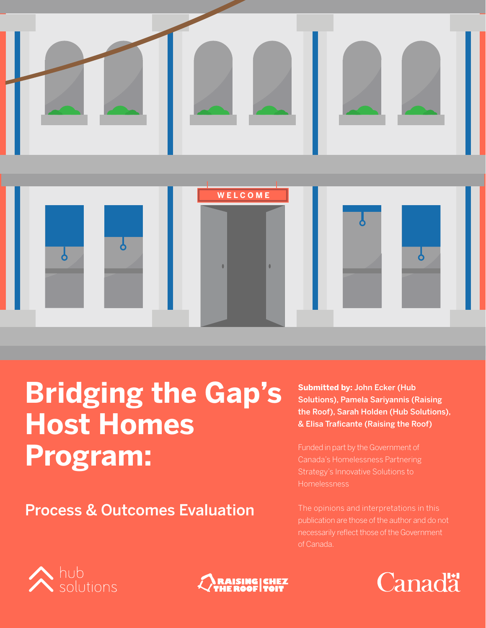



# **Bridging the Gap's Host Homes Program:**

Process & Outcomes Evaluation

**Submitted by:** John Ecker (Hub Solutions), Pamela Sariyannis (Raising the Roof), Sarah Holden (Hub Solutions), & Elisa Traficante (Raising the Roof)

Strategy's Innovative Solutions to Homelessness

The opinions and interpretations in this publication are those of the author and do not of Canada.





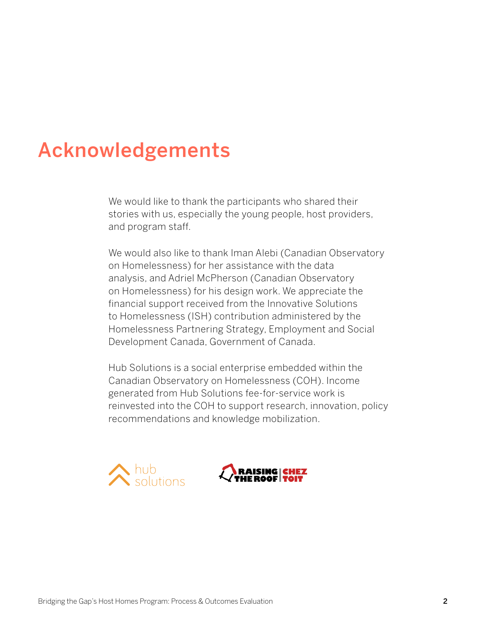# Acknowledgements

We would like to thank the participants who shared their stories with us, especially the young people, host providers, and program staff.

We would also like to thank Iman Alebi (Canadian Observatory on Homelessness) for her assistance with the data analysis, and Adriel McPherson (Canadian Observatory on Homelessness) for his design work. We appreciate the financial support received from the Innovative Solutions to Homelessness (ISH) contribution administered by the Homelessness Partnering Strategy, Employment and Social Development Canada, Government of Canada.

Hub Solutions is a social enterprise embedded within the Canadian Observatory on Homelessness (COH). Income generated from Hub Solutions fee-for-service work is reinvested into the COH to support research, innovation, policy recommendations and knowledge mobilization.



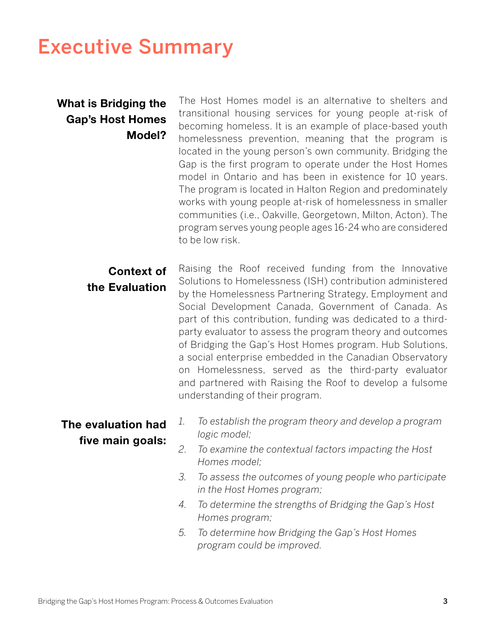# Executive Summary

# **What is Bridging the Gap's Host Homes Model?**

The Host Homes model is an alternative to shelters and transitional housing services for young people at-risk of becoming homeless. It is an example of place-based youth homelessness prevention, meaning that the program is located in the young person's own community. Bridging the Gap is the first program to operate under the Host Homes model in Ontario and has been in existence for 10 years. The program is located in Halton Region and predominately works with young people at-risk of homelessness in smaller communities (i.e., Oakville, Georgetown, Milton, Acton). The program serves young people ages 16-24 who are considered to be low risk.

**Context of the Evaluation** Raising the Roof received funding from the Innovative Solutions to Homelessness (ISH) contribution administered by the Homelessness Partnering Strategy, Employment and Social Development Canada, Government of Canada. As part of this contribution, funding was dedicated to a thirdparty evaluator to assess the program theory and outcomes of Bridging the Gap's Host Homes program. Hub Solutions, a social enterprise embedded in the Canadian Observatory on Homelessness, served as the third-party evaluator and partnered with Raising the Roof to develop a fulsome understanding of their program.

## **The evaluation had five main goals:**

- *1. To establish the program theory and develop a program logic model;*
- *2. To examine the contextual factors impacting the Host Homes model;*
- *3. To assess the outcomes of young people who participate in the Host Homes program;*
- *4. To determine the strengths of Bridging the Gap's Host Homes program;*
- *5. To determine how Bridging the Gap's Host Homes program could be improved.*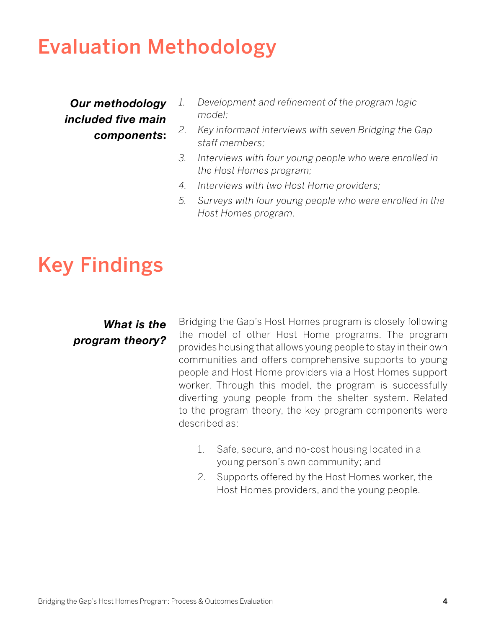# Evaluation Methodology

*Our methodology included five main components***:** 

- *1. Development and refinement of the program logic model;*
- *2. Key informant interviews with seven Bridging the Gap staff members;*
- *3. Interviews with four young people who were enrolled in the Host Homes program;*
- *4. Interviews with two Host Home providers;*
- *5. Surveys with four young people who were enrolled in the Host Homes program.*

# Key Findings

# *What is the program theory?*

Bridging the Gap's Host Homes program is closely following the model of other Host Home programs. The program provides housing that allows young people to stay in their own communities and offers comprehensive supports to young people and Host Home providers via a Host Homes support worker. Through this model, the program is successfully diverting young people from the shelter system. Related to the program theory, the key program components were described as:

- 1. Safe, secure, and no-cost housing located in a young person's own community; and
- 2. Supports offered by the Host Homes worker, the Host Homes providers, and the young people.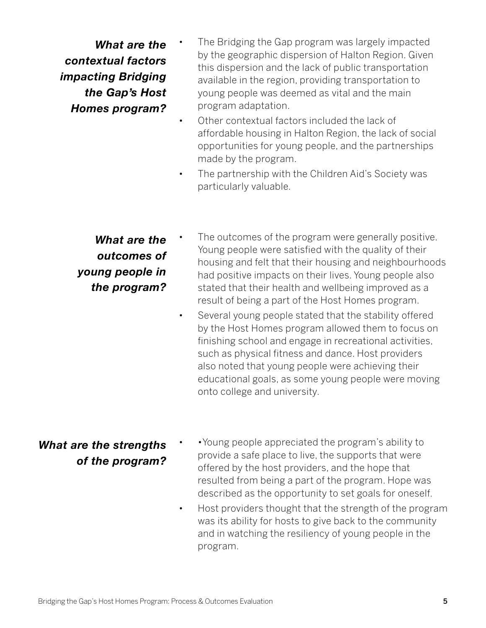*What are the contextual factors impacting Bridging the Gap's Host Homes program?* 

- The Bridging the Gap program was largely impacted by the geographic dispersion of Halton Region. Given this dispersion and the lack of public transportation available in the region, providing transportation to young people was deemed as vital and the main program adaptation.
- Other contextual factors included the lack of affordable housing in Halton Region, the lack of social opportunities for young people, and the partnerships made by the program.
- The partnership with the Children Aid's Society was particularly valuable.

# *What are the outcomes of young people in the program?*

- The outcomes of the program were generally positive. Young people were satisfied with the quality of their housing and felt that their housing and neighbourhoods had positive impacts on their lives. Young people also stated that their health and wellbeing improved as a result of being a part of the Host Homes program.
	- Several young people stated that the stability offered by the Host Homes program allowed them to focus on finishing school and engage in recreational activities, such as physical fitness and dance. Host providers also noted that young people were achieving their educational goals, as some young people were moving onto college and university.

# *What are the strengths of the program?*

- •Young people appreciated the program's ability to provide a safe place to live, the supports that were offered by the host providers, and the hope that resulted from being a part of the program. Hope was described as the opportunity to set goals for oneself.
- Host providers thought that the strength of the program was its ability for hosts to give back to the community and in watching the resiliency of young people in the program.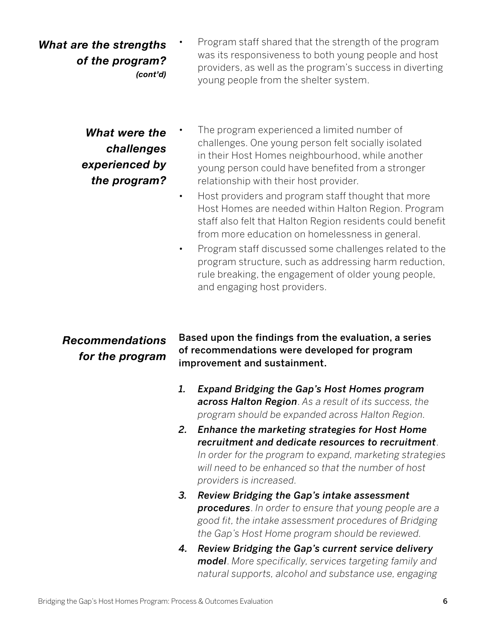*What are the strengths of the program? (cont'd)* • Program staff shared that the strength of the program was its responsiveness to both young people and host providers, as well as the program's success in diverting young people from the shelter system.

> *What were the challenges experienced by the program?*

- The program experienced a limited number of challenges. One young person felt socially isolated in their Host Homes neighbourhood, while another young person could have benefited from a stronger relationship with their host provider.
- Host providers and program staff thought that more Host Homes are needed within Halton Region. Program staff also felt that Halton Region residents could benefit from more education on homelessness in general.
- Program staff discussed some challenges related to the program structure, such as addressing harm reduction, rule breaking, the engagement of older young people, and engaging host providers.

#### Based upon the findings from the evaluation, a series of recommendations were developed for program improvement and sustainment. *Recommendations for the program*

- *1. Expand Bridging the Gap's Host Homes program across Halton Region*. *As a result of its success, the program should be expanded across Halton Region.*
- *2. Enhance the marketing strategies for Host Home recruitment and dedicate resources to recruitment*. *In order for the program to expand, marketing strategies will need to be enhanced so that the number of host providers is increased.*
- *3. Review Bridging the Gap's intake assessment procedures*. *In order to ensure that young people are a good fit, the intake assessment procedures of Bridging the Gap's Host Home program should be reviewed.*
- *4. Review Bridging the Gap's current service delivery model*. *More specifically, services targeting family and natural supports, alcohol and substance use, engaging*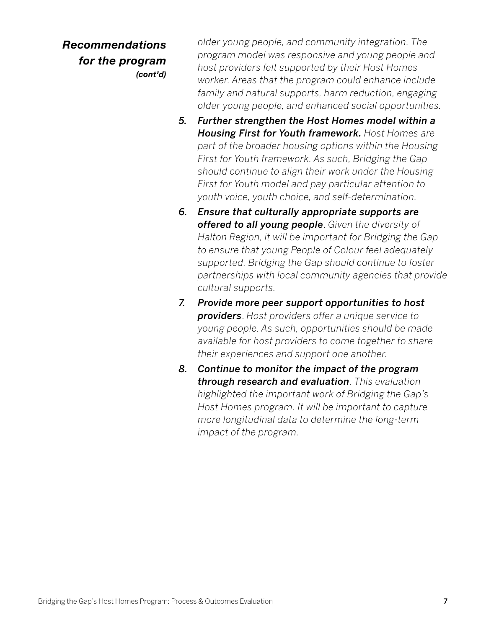*Recommendations for the program (cont'd)* *older young people, and community integration. The program model was responsive and young people and host providers felt supported by their Host Homes worker. Areas that the program could enhance include family and natural supports, harm reduction, engaging older young people, and enhanced social opportunities.*

- *5. Further strengthen the Host Homes model within a Housing First for Youth framework. Host Homes are part of the broader housing options within the Housing First for Youth framework. As such, Bridging the Gap should continue to align their work under the Housing First for Youth model and pay particular attention to youth voice, youth choice, and self-determination.*
- *6. Ensure that culturally appropriate supports are offered to all young people*. *Given the diversity of Halton Region, it will be important for Bridging the Gap to ensure that young People of Colour feel adequately supported. Bridging the Gap should continue to foster partnerships with local community agencies that provide cultural supports.*
- *7. Provide more peer support opportunities to host providers*. *Host providers offer a unique service to young people. As such, opportunities should be made available for host providers to come together to share their experiences and support one another.*
- *8. Continue to monitor the impact of the program through research and evaluation*. *This evaluation highlighted the important work of Bridging the Gap's Host Homes program. It will be important to capture more longitudinal data to determine the long-term impact of the program.*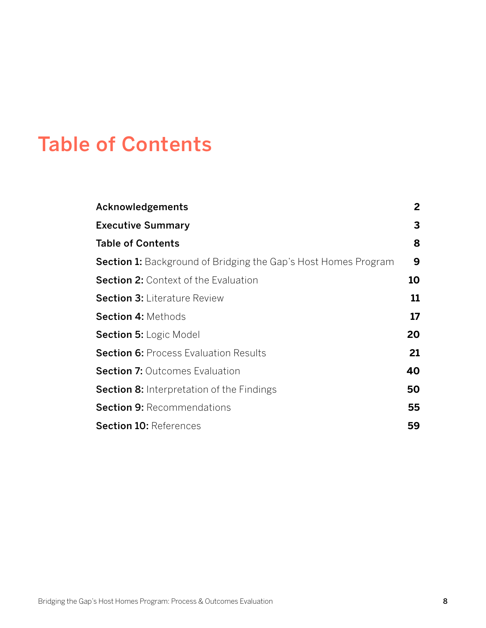# Table of Contents

| $\overline{2}$ |
|----------------|
| 3              |
| 8              |
| 9              |
| 10             |
| 11             |
| 17             |
| 20             |
| 21             |
| 40             |
| 50             |
| 55             |
| 59             |
|                |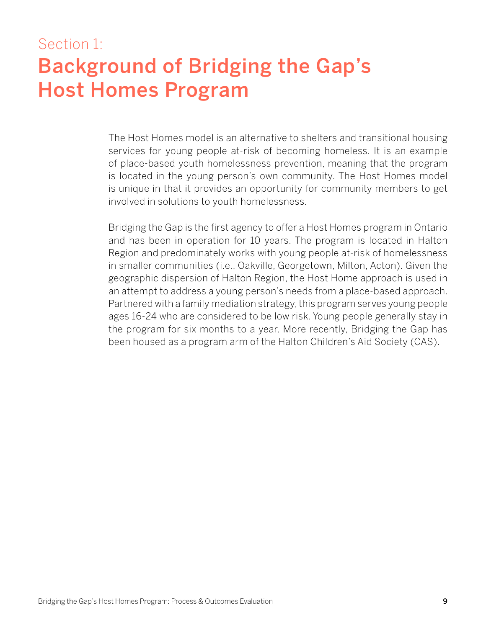# Section 1: Background of Bridging the Gap's Host Homes Program

The Host Homes model is an alternative to shelters and transitional housing services for young people at-risk of becoming homeless. It is an example of place-based youth homelessness prevention, meaning that the program is located in the young person's own community. The Host Homes model is unique in that it provides an opportunity for community members to get involved in solutions to youth homelessness.

Bridging the Gap is the first agency to offer a Host Homes program in Ontario and has been in operation for 10 years. The program is located in Halton Region and predominately works with young people at-risk of homelessness in smaller communities (i.e., Oakville, Georgetown, Milton, Acton). Given the geographic dispersion of Halton Region, the Host Home approach is used in an attempt to address a young person's needs from a place-based approach. Partnered with a family mediation strategy, this program serves young people ages 16-24 who are considered to be low risk. Young people generally stay in the program for six months to a year. More recently, Bridging the Gap has been housed as a program arm of the Halton Children's Aid Society (CAS).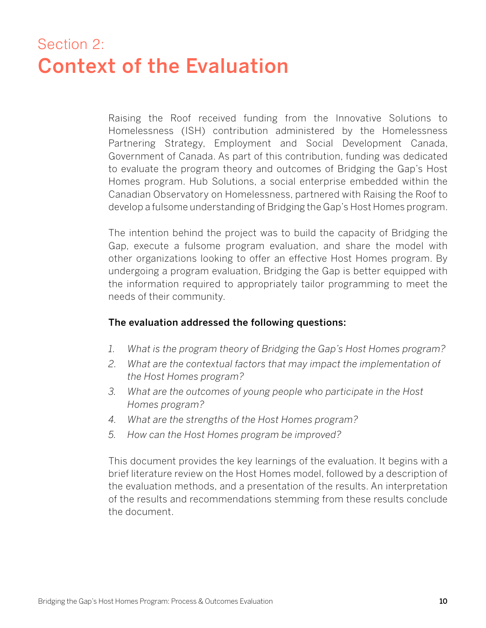# Section 2: Context of the Evaluation

Raising the Roof received funding from the Innovative Solutions to Homelessness (ISH) contribution administered by the Homelessness Partnering Strategy, Employment and Social Development Canada, Government of Canada. As part of this contribution, funding was dedicated to evaluate the program theory and outcomes of Bridging the Gap's Host Homes program. Hub Solutions, a social enterprise embedded within the Canadian Observatory on Homelessness, partnered with Raising the Roof to develop a fulsome understanding of Bridging the Gap's Host Homes program.

The intention behind the project was to build the capacity of Bridging the Gap, execute a fulsome program evaluation, and share the model with other organizations looking to offer an effective Host Homes program. By undergoing a program evaluation, Bridging the Gap is better equipped with the information required to appropriately tailor programming to meet the needs of their community.

#### The evaluation addressed the following questions:

- *1. What is the program theory of Bridging the Gap's Host Homes program?*
- *2. What are the contextual factors that may impact the implementation of the Host Homes program?*
- *3. What are the outcomes of young people who participate in the Host Homes program?*
- *4. What are the strengths of the Host Homes program?*
- *5. How can the Host Homes program be improved?*

This document provides the key learnings of the evaluation. It begins with a brief literature review on the Host Homes model, followed by a description of the evaluation methods, and a presentation of the results. An interpretation of the results and recommendations stemming from these results conclude the document.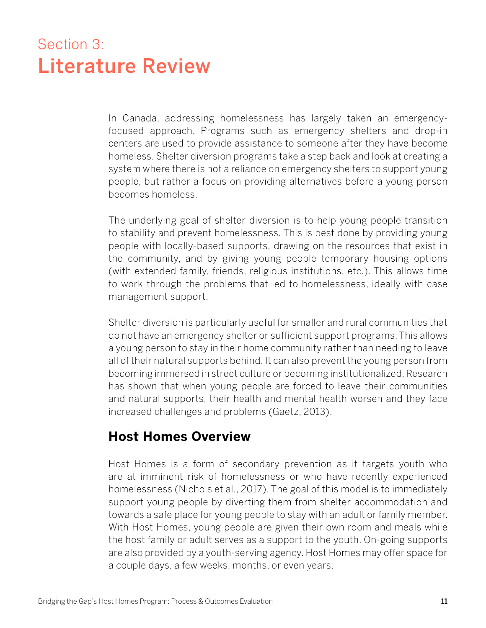# Section 3: Literature Review

In Canada, addressing homelessness has largely taken an emergencyfocused approach. Programs such as emergency shelters and drop-in centers are used to provide assistance to someone after they have become homeless. Shelter diversion programs take a step back and look at creating a system where there is not a reliance on emergency shelters to support young people, but rather a focus on providing alternatives before a young person becomes homeless.

The underlying goal of shelter diversion is to help young people transition to stability and prevent homelessness. This is best done by providing young people with locally-based supports, drawing on the resources that exist in the community, and by giving young people temporary housing options (with extended family, friends, religious institutions, etc.). This allows time to work through the problems that led to homelessness, ideally with case management support.

Shelter diversion is particularly useful for smaller and rural communities that do not have an emergency shelter or sufficient support programs. This allows a young person to stay in their home community rather than needing to leave all of their natural supports behind. It can also prevent the young person from becoming immersed in street culture or becoming institutionalized. Research has shown that when young people are forced to leave their communities and natural supports, their health and mental health worsen and they face increased challenges and problems (Gaetz, 2013).

# **Host Homes Overview**

Host Homes is a form of secondary prevention as it targets youth who are at imminent risk of homelessness or who have recently experienced homelessness (Nichols et al., 2017). The goal of this model is to immediately support young people by diverting them from shelter accommodation and towards a safe place for young people to stay with an adult or family member. With Host Homes, young people are given their own room and meals while the host family or adult serves as a support to the youth. On-going supports are also provided by a youth-serving agency. Host Homes may offer space for a couple days, a few weeks, months, or even years.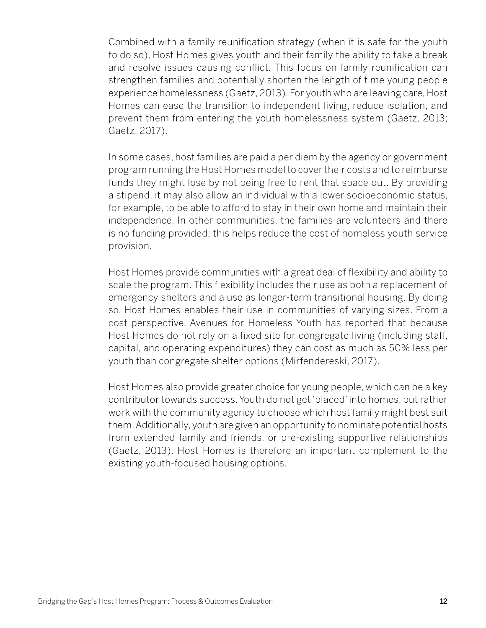Combined with a family reunification strategy (when it is safe for the youth to do so), Host Homes gives youth and their family the ability to take a break and resolve issues causing conflict. This focus on family reunification can strengthen families and potentially shorten the length of time young people experience homelessness (Gaetz, 2013). For youth who are leaving care, Host Homes can ease the transition to independent living, reduce isolation, and prevent them from entering the youth homelessness system (Gaetz, 2013; Gaetz, 2017).

In some cases, host families are paid a per diem by the agency or government program running the Host Homes model to cover their costs and to reimburse funds they might lose by not being free to rent that space out. By providing a stipend, it may also allow an individual with a lower socioeconomic status, for example, to be able to afford to stay in their own home and maintain their independence. In other communities, the families are volunteers and there is no funding provided; this helps reduce the cost of homeless youth service provision.

Host Homes provide communities with a great deal of flexibility and ability to scale the program. This flexibility includes their use as both a replacement of emergency shelters and a use as longer-term transitional housing. By doing so, Host Homes enables their use in communities of varying sizes. From a cost perspective, Avenues for Homeless Youth has reported that because Host Homes do not rely on a fixed site for congregate living (including staff, capital, and operating expenditures) they can cost as much as 50% less per youth than congregate shelter options (Mirfendereski, 2017).

Host Homes also provide greater choice for young people, which can be a key contributor towards success. Youth do not get 'placed' into homes, but rather work with the community agency to choose which host family might best suit them. Additionally, youth are given an opportunity to nominate potential hosts from extended family and friends, or pre-existing supportive relationships (Gaetz, 2013). Host Homes is therefore an important complement to the existing youth-focused housing options.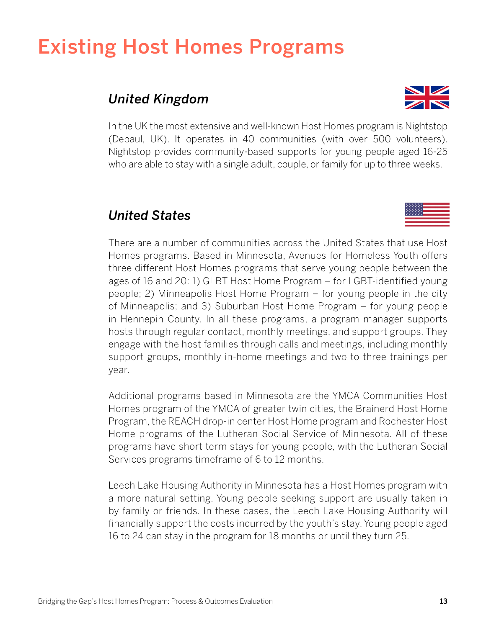# Existing Host Homes Programs

# *United Kingdom*



In the UK the most extensive and well-known Host Homes program is Nightstop (Depaul, UK). It operates in 40 communities (with over 500 volunteers). Nightstop provides community-based supports for young people aged 16-25 who are able to stay with a single adult, couple, or family for up to three weeks.

# *United States*

There are a number of communities across the United States that use Host Homes programs. Based in Minnesota, Avenues for Homeless Youth offers three different Host Homes programs that serve young people between the ages of 16 and 20: 1) GLBT Host Home Program – for LGBT-identified young people; 2) Minneapolis Host Home Program – for young people in the city of Minneapolis; and 3) Suburban Host Home Program – for young people in Hennepin County. In all these programs, a program manager supports hosts through regular contact, monthly meetings, and support groups. They engage with the host families through calls and meetings, including monthly support groups, monthly in-home meetings and two to three trainings per year.

Additional programs based in Minnesota are the YMCA Communities Host Homes program of the YMCA of greater twin cities, the Brainerd Host Home Program, the REACH drop-in center Host Home program and Rochester Host Home programs of the Lutheran Social Service of Minnesota. All of these programs have short term stays for young people, with the Lutheran Social Services programs timeframe of 6 to 12 months.

Leech Lake Housing Authority in Minnesota has a Host Homes program with a more natural setting. Young people seeking support are usually taken in by family or friends. In these cases, the Leech Lake Housing Authority will financially support the costs incurred by the youth's stay. Young people aged 16 to 24 can stay in the program for 18 months or until they turn 25.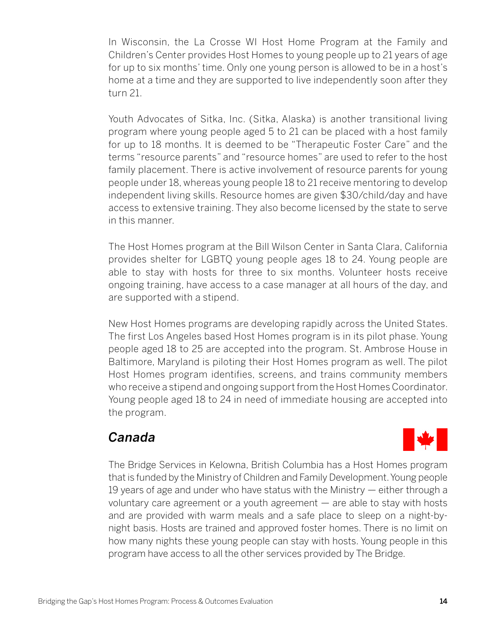In Wisconsin, the La Crosse WI Host Home Program at the Family and Children's Center provides Host Homes to young people up to 21 years of age for up to six months' time. Only one young person is allowed to be in a host's home at a time and they are supported to live independently soon after they turn 21.

Youth Advocates of Sitka, Inc. (Sitka, Alaska) is another transitional living program where young people aged 5 to 21 can be placed with a host family for up to 18 months. It is deemed to be "Therapeutic Foster Care" and the terms "resource parents" and "resource homes" are used to refer to the host family placement. There is active involvement of resource parents for young people under 18, whereas young people 18 to 21 receive mentoring to develop independent living skills. Resource homes are given \$30/child/day and have access to extensive training. They also become licensed by the state to serve in this manner.

The Host Homes program at the Bill Wilson Center in Santa Clara, California provides shelter for LGBTQ young people ages 18 to 24. Young people are able to stay with hosts for three to six months. Volunteer hosts receive ongoing training, have access to a case manager at all hours of the day, and are supported with a stipend.

New Host Homes programs are developing rapidly across the United States. The first Los Angeles based Host Homes program is in its pilot phase. Young people aged 18 to 25 are accepted into the program. St. Ambrose House in Baltimore, Maryland is piloting their Host Homes program as well. The pilot Host Homes program identifies, screens, and trains community members who receive a stipend and ongoing support from the Host Homes Coordinator. Young people aged 18 to 24 in need of immediate housing are accepted into the program.

# *Canada*



The Bridge Services in Kelowna, British Columbia has a Host Homes program that is funded by the Ministry of Children and Family Development. Young people 19 years of age and under who have status with the Ministry — either through a voluntary care agreement or a youth agreement — are able to stay with hosts and are provided with warm meals and a safe place to sleep on a night-bynight basis. Hosts are trained and approved foster homes. There is no limit on how many nights these young people can stay with hosts. Young people in this program have access to all the other services provided by The Bridge.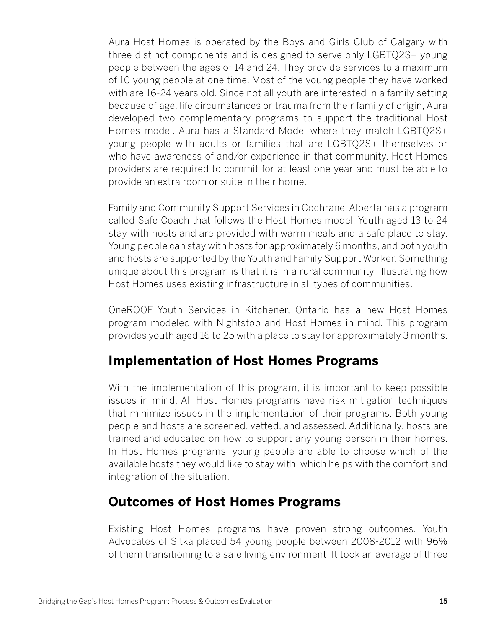Aura Host Homes is operated by the Boys and Girls Club of Calgary with three distinct components and is designed to serve only LGBTQ2S+ young people between the ages of 14 and 24. They provide services to a maximum of 10 young people at one time. Most of the young people they have worked with are 16-24 years old. Since not all youth are interested in a family setting because of age, life circumstances or trauma from their family of origin, Aura developed two complementary programs to support the traditional Host Homes model. Aura has a Standard Model where they match LGBTQ2S+ young people with adults or families that are LGBTQ2S+ themselves or who have awareness of and/or experience in that community. Host Homes providers are required to commit for at least one year and must be able to provide an extra room or suite in their home.

Family and Community Support Services in Cochrane, Alberta has a program called Safe Coach that follows the Host Homes model. Youth aged 13 to 24 stay with hosts and are provided with warm meals and a safe place to stay. Young people can stay with hosts for approximately 6 months, and both youth and hosts are supported by the Youth and Family Support Worker. Something unique about this program is that it is in a rural community, illustrating how Host Homes uses existing infrastructure in all types of communities.

OneROOF Youth Services in Kitchener, Ontario has a new Host Homes program modeled with Nightstop and Host Homes in mind. This program provides youth aged 16 to 25 with a place to stay for approximately 3 months.

# **Implementation of Host Homes Programs**

With the implementation of this program, it is important to keep possible issues in mind. All Host Homes programs have risk mitigation techniques that minimize issues in the implementation of their programs. Both young people and hosts are screened, vetted, and assessed. Additionally, hosts are trained and educated on how to support any young person in their homes. In Host Homes programs, young people are able to choose which of the available hosts they would like to stay with, which helps with the comfort and integration of the situation.

# **Outcomes of Host Homes Programs**

Existing Host Homes programs have proven strong outcomes. Youth Advocates of Sitka placed 54 young people between 2008-2012 with 96% of them transitioning to a safe living environment. It took an average of three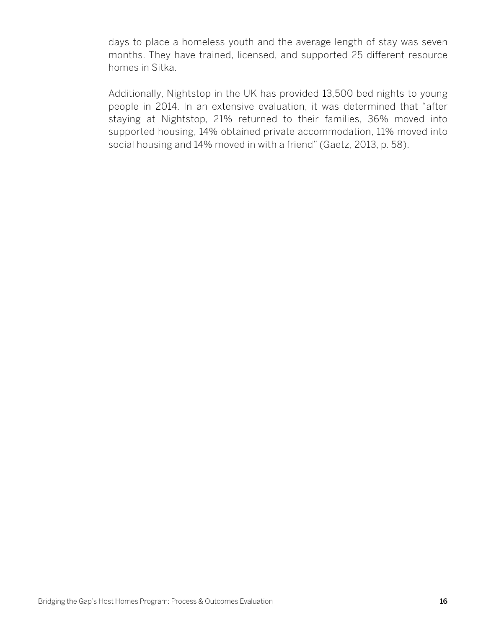days to place a homeless youth and the average length of stay was seven months. They have trained, licensed, and supported 25 different resource homes in Sitka.

Additionally, Nightstop in the UK has provided 13,500 bed nights to young people in 2014. In an extensive evaluation, it was determined that "after staying at Nightstop, 21% returned to their families, 36% moved into supported housing, 14% obtained private accommodation, 11% moved into social housing and 14% moved in with a friend" (Gaetz, 2013, p. 58).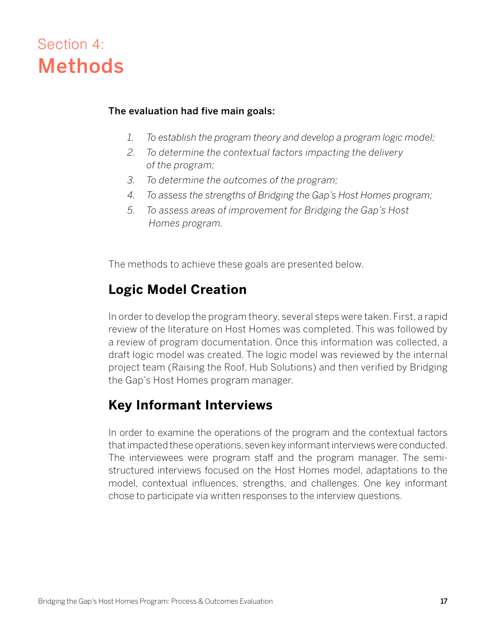# Section 4: Methods

#### The evaluation had five main goals:

- *1. To establish the program theory and develop a program logic model;*
- *2. To determine the contextual factors impacting the delivery of the program;*
- *3. To determine the outcomes of the program;*
- *4. To assess the strengths of Bridging the Gap's Host Homes program;*
- *5. To assess areas of improvement for Bridging the Gap's Host Homes program.*

The methods to achieve these goals are presented below.

# **Logic Model Creation**

In order to develop the program theory, several steps were taken. First, a rapid review of the literature on Host Homes was completed. This was followed by a review of program documentation. Once this information was collected, a draft logic model was created. The logic model was reviewed by the internal project team (Raising the Roof, Hub Solutions) and then verified by Bridging the Gap's Host Homes program manager.

# **Key Informant Interviews**

In order to examine the operations of the program and the contextual factors that impacted these operations, seven key informant interviews were conducted. The interviewees were program staff and the program manager. The semistructured interviews focused on the Host Homes model, adaptations to the model, contextual influences, strengths, and challenges. One key informant chose to participate via written responses to the interview questions.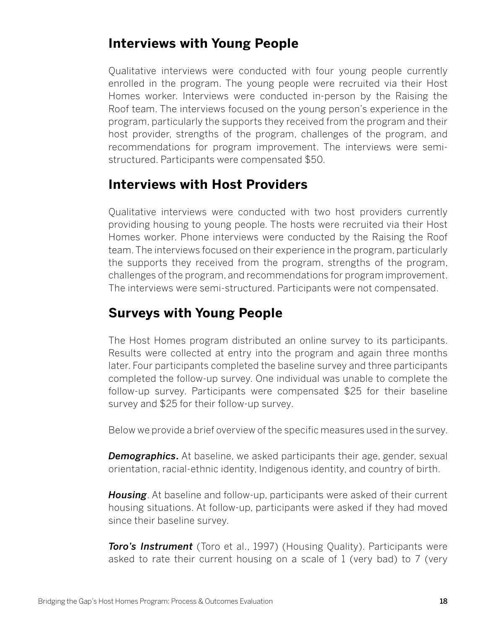# **Interviews with Young People**

Qualitative interviews were conducted with four young people currently enrolled in the program. The young people were recruited via their Host Homes worker. Interviews were conducted in-person by the Raising the Roof team. The interviews focused on the young person's experience in the program, particularly the supports they received from the program and their host provider, strengths of the program, challenges of the program, and recommendations for program improvement. The interviews were semistructured. Participants were compensated \$50.

# **Interviews with Host Providers**

Qualitative interviews were conducted with two host providers currently providing housing to young people. The hosts were recruited via their Host Homes worker. Phone interviews were conducted by the Raising the Roof team. The interviews focused on their experience in the program, particularly the supports they received from the program, strengths of the program, challenges of the program, and recommendations for program improvement. The interviews were semi-structured. Participants were not compensated.

# **Surveys with Young People**

The Host Homes program distributed an online survey to its participants. Results were collected at entry into the program and again three months later. Four participants completed the baseline survey and three participants completed the follow-up survey. One individual was unable to complete the follow-up survey. Participants were compensated \$25 for their baseline survey and \$25 for their follow-up survey.

Below we provide a brief overview of the specific measures used in the survey.

*Demographics*. At baseline, we asked participants their age, gender, sexual orientation, racial-ethnic identity, Indigenous identity, and country of birth.

*Housing*. At baseline and follow-up, participants were asked of their current housing situations. At follow-up, participants were asked if they had moved since their baseline survey.

*Toro's Instrument* (Toro et al., 1997) (Housing Quality). Participants were asked to rate their current housing on a scale of 1 (very bad) to 7 (very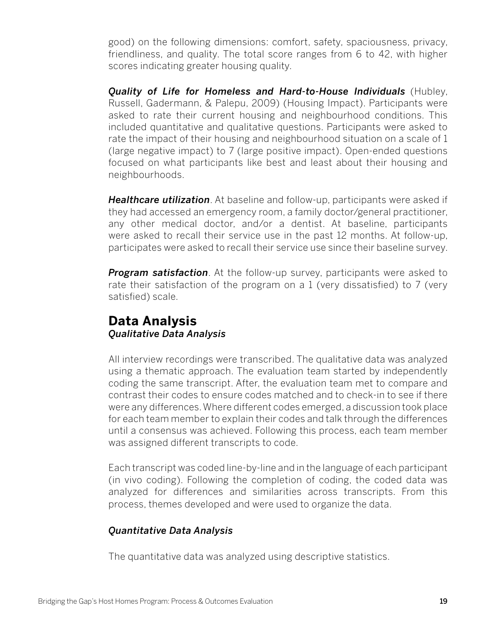good) on the following dimensions: comfort, safety, spaciousness, privacy, friendliness, and quality. The total score ranges from 6 to 42, with higher scores indicating greater housing quality.

*Quality of Life for Homeless and Hard-to-House Individuals* (Hubley, Russell, Gadermann, & Palepu, 2009) (Housing Impact). Participants were asked to rate their current housing and neighbourhood conditions. This included quantitative and qualitative questions. Participants were asked to rate the impact of their housing and neighbourhood situation on a scale of 1 (large negative impact) to 7 (large positive impact). Open-ended questions focused on what participants like best and least about their housing and neighbourhoods.

*Healthcare utilization*. At baseline and follow-up, participants were asked if they had accessed an emergency room, a family doctor/general practitioner, any other medical doctor, and/or a dentist. At baseline, participants were asked to recall their service use in the past 12 months. At follow-up, participates were asked to recall their service use since their baseline survey.

*Program satisfaction*. At the follow-up survey, participants were asked to rate their satisfaction of the program on a 1 (very dissatisfied) to 7 (very satisfied) scale.

## **Data Analysis** *Qualitative Data Analysis*

All interview recordings were transcribed. The qualitative data was analyzed using a thematic approach. The evaluation team started by independently coding the same transcript. After, the evaluation team met to compare and contrast their codes to ensure codes matched and to check-in to see if there were any differences. Where different codes emerged, a discussion took place for each team member to explain their codes and talk through the differences until a consensus was achieved. Following this process, each team member was assigned different transcripts to code.

Each transcript was coded line-by-line and in the language of each participant (in vivo coding). Following the completion of coding, the coded data was analyzed for differences and similarities across transcripts. From this process, themes developed and were used to organize the data.

### *Quantitative Data Analysis*

The quantitative data was analyzed using descriptive statistics.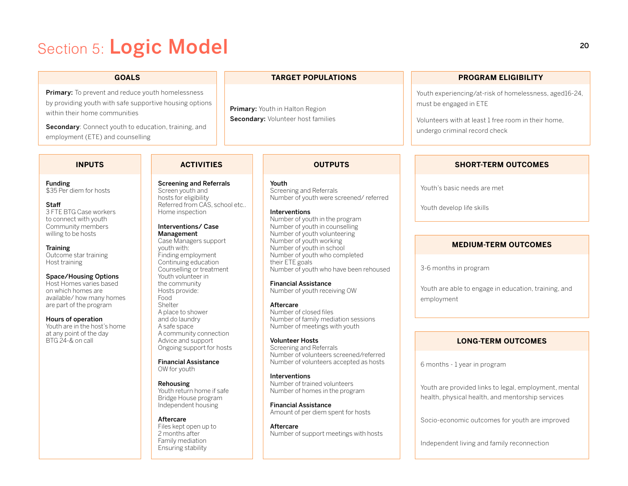# Section 5: Logic Model

Primary: To prevent and reduce youth homelessness by providing youth with safe supportive housing options within their home communities

Secondary: Connect youth to education, training, and employment (ETE) and counselling

#### **GOALS TARGET POPULATIONS PROGRAM ELIGIBILITY**

Primary: Youth in Halton Region Secondary: Volunteer host families

#### Youth experiencing/at-risk of homelessness, aged16-24,

must be engaged in ETE

Volunteers with at least 1 free room in their home, undergo criminal record check

Funding \$35 Per diem for hosts

## Staff

3 FTE BTG Case workers to connect with youth Community members willing to be hosts

#### **Training**

Outcome star training Host training

#### Space/Housing Options

Host Homes varies based on which homes are available/ how many homes are part of the program

Hours of operation Youth are in the host's home at any point of the day

BTG 24-& on call

hosts for eligibility Referred from CAS, school etc.. Home inspection

#### Interventions/ Case Management

Screening and Referrals Screen youth and

Case Managers support youth with: Finding employment Continuing education Counselling or treatment Youth volunteer in the community Hosts provide: Food **Shelter** A place to shower and do laundry A safe space A community connection Advice and support Ongoing support for hosts

Financial Assistance OW for youth

Rehousing Youth return home if safe Bridge House program Independent housing

#### Aftercare Files kept open up to 2 months after Family mediation Ensuring stability

#### **INPUTS ACTIVITIES OUTPUTS**

Youth Screening and Referrals Number of youth were screened/ referred

**Interventions** 

Number of youth in the program Number of youth in counselling Number of youth volunteering Number of youth working Number of youth in school Number of youth who completed their ETE goals Number of youth who have been rehoused

Financial Assistance Number of youth receiving OW

Aftercare Number of closed files Number of family mediation sessions Number of meetings with youth

Volunteer Hosts Screening and Referrals Number of volunteers screened/referred Number of volunteers accepted as hosts

Interventions Number of trained volunteers Number of homes in the program

Financial Assistance Amount of per diem spent for hosts

Aftercare Number of support meetings with hosts

#### **SHORT-TERM OUTCOMES**

Youth's basic needs are met

Youth develop life skills

#### **MEDIUM-TERM OUTCOMES**

3-6 months in program

Youth are able to engage in education, training, and employment

#### **LONG-TERM OUTCOMES**

6 months - 1 year in program

Youth are provided links to legal, employment, mental health, physical health, and mentorship services

Socio-economic outcomes for youth are improved

Independent living and family reconnection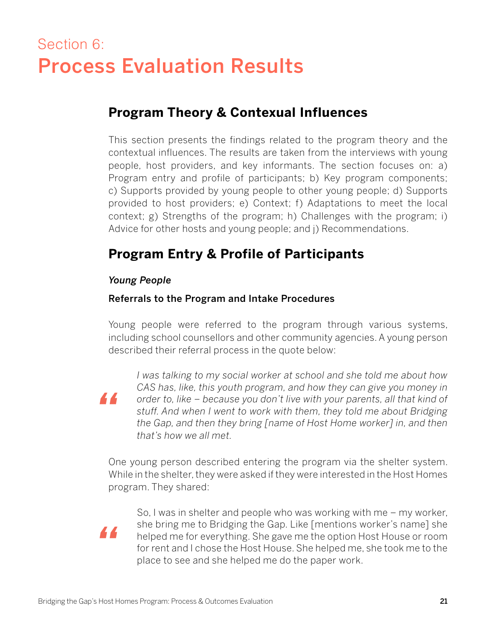# Section 6: Process Evaluation Results

# **Program Theory & Contexual Influences**

This section presents the findings related to the program theory and the contextual influences. The results are taken from the interviews with young people, host providers, and key informants. The section focuses on: a) Program entry and profile of participants; b) Key program components; c) Supports provided by young people to other young people; d) Supports provided to host providers; e) Context; f) Adaptations to meet the local context; g) Strengths of the program; h) Challenges with the program; i) Advice for other hosts and young people; and j) Recommendations.

# **Program Entry & Profile of Participants**

#### *Young People*

#### Referrals to the Program and Intake Procedures

Young people were referred to the program through various systems, including school counsellors and other community agencies. A young person described their referral process in the quote below:

*I was talking to my social worker at school and she told me about how CAS has, like, this youth program, and how they can give you money in order to, like – because you don't live with your parents, all that kind of stuff. And when I went to work with them, they told me about Bridging the Gap, and then they bring [name of Host Home worker] in, and then that's how we all met.*

One young person described entering the program via the shelter system. While in the shelter, they were asked if they were interested in the Host Homes program. They shared:

*"*

*"*

So, I was in shelter and people who was working with me – my worker, she bring me to Bridging the Gap. Like [mentions worker's name] she helped me for everything. She gave me the option Host House or room for rent and I chose the Host House. She helped me, she took me to the place to see and she helped me do the paper work.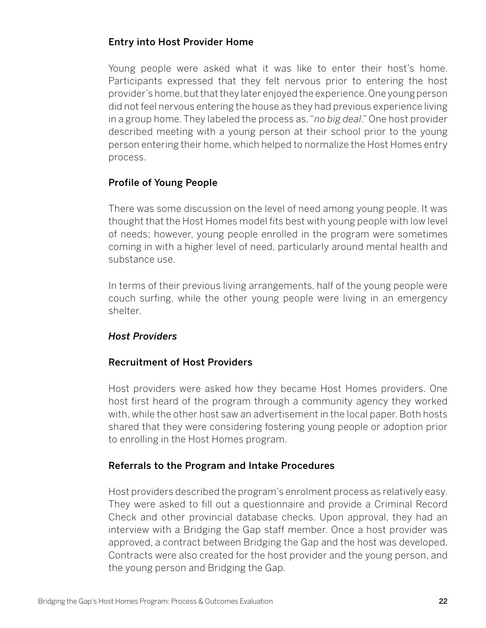### Entry into Host Provider Home

Young people were asked what it was like to enter their host's home. Participants expressed that they felt nervous prior to entering the host provider's home, but that they later enjoyed the experience. One young person did not feel nervous entering the house as they had previous experience living in a group home. They labeled the process as, "*no big deal*." One host provider described meeting with a young person at their school prior to the young person entering their home, which helped to normalize the Host Homes entry process.

## Profile of Young People

There was some discussion on the level of need among young people. It was thought that the Host Homes model fits best with young people with low level of needs; however, young people enrolled in the program were sometimes coming in with a higher level of need, particularly around mental health and substance use.

In terms of their previous living arrangements, half of the young people were couch surfing, while the other young people were living in an emergency shelter.

### *Host Providers*

### Recruitment of Host Providers

Host providers were asked how they became Host Homes providers. One host first heard of the program through a community agency they worked with, while the other host saw an advertisement in the local paper. Both hosts shared that they were considering fostering young people or adoption prior to enrolling in the Host Homes program.

### Referrals to the Program and Intake Procedures

Host providers described the program's enrolment process as relatively easy. They were asked to fill out a questionnaire and provide a Criminal Record Check and other provincial database checks. Upon approval, they had an interview with a Bridging the Gap staff member. Once a host provider was approved, a contract between Bridging the Gap and the host was developed. Contracts were also created for the host provider and the young person, and the young person and Bridging the Gap.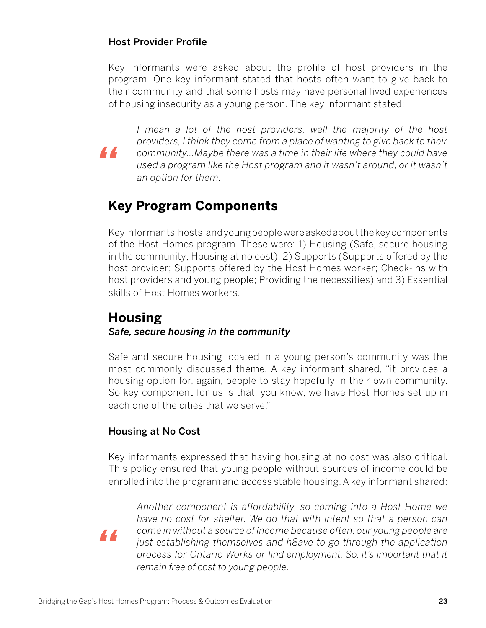### Host Provider Profile

*"*

Key informants were asked about the profile of host providers in the program. One key informant stated that hosts often want to give back to their community and that some hosts may have personal lived experiences of housing insecurity as a young person. The key informant stated:

I mean a lot of the host providers, well the majority of the host *providers, I think they come from a place of wanting to give back to their community…Maybe there was a time in their life where they could have used a program like the Host program and it wasn't around, or it wasn't an option for them.*

# **Key Program Components**

Key informants, hosts, and young people were asked about the key components of the Host Homes program. These were: 1) Housing (Safe, secure housing in the community; Housing at no cost); 2) Supports (Supports offered by the host provider; Supports offered by the Host Homes worker; Check-ins with host providers and young people; Providing the necessities) and 3) Essential skills of Host Homes workers.

## **Housing** *Safe, secure housing in the community*

Safe and secure housing located in a young person's community was the most commonly discussed theme. A key informant shared, "it provides a housing option for, again, people to stay hopefully in their own community. So key component for us is that, you know, we have Host Homes set up in each one of the cities that we serve."

## Housing at No Cost

Key informants expressed that having housing at no cost was also critical. This policy ensured that young people without sources of income could be enrolled into the program and access stable housing. A key informant shared:



*Another component is affordability, so coming into a Host Home we have no cost for shelter. We do that with intent so that a person can come in without a source of income because often, our young people are just establishing themselves and h8ave to go through the application process for Ontario Works or find employment. So, it's important that it remain free of cost to young people.*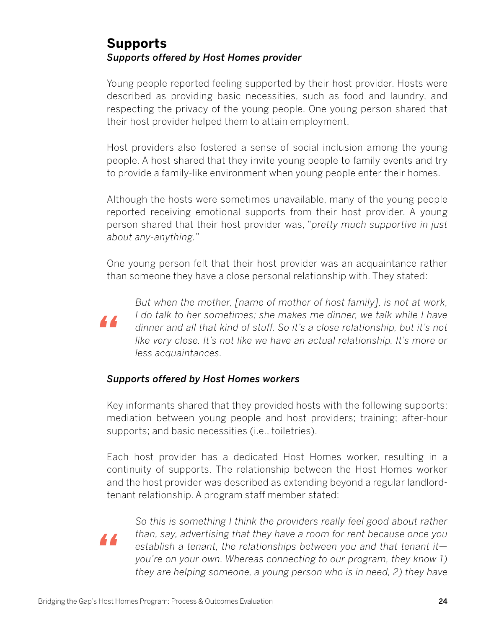# **Supports** *Supports offered by Host Homes provider*

Young people reported feeling supported by their host provider. Hosts were described as providing basic necessities, such as food and laundry, and respecting the privacy of the young people. One young person shared that their host provider helped them to attain employment.

Host providers also fostered a sense of social inclusion among the young people. A host shared that they invite young people to family events and try to provide a family-like environment when young people enter their homes.

Although the hosts were sometimes unavailable, many of the young people reported receiving emotional supports from their host provider. A young person shared that their host provider was, "*pretty much supportive in just about any-anything.*"

One young person felt that their host provider was an acquaintance rather than someone they have a close personal relationship with. They stated:



*But when the mother, [name of mother of host family], is not at work, I* do talk to her sometimes; she makes me dinner, we talk while I have *dinner and all that kind of stuff. So it's a close relationship, but it's not like very close. It's not like we have an actual relationship. It's more or less acquaintances.*

### *Supports offered by Host Homes workers*

Key informants shared that they provided hosts with the following supports: mediation between young people and host providers; training; after-hour supports; and basic necessities (i.e., toiletries).

Each host provider has a dedicated Host Homes worker, resulting in a continuity of supports. The relationship between the Host Homes worker and the host provider was described as extending beyond a regular landlordtenant relationship. A program staff member stated:



*So this is something I think the providers really feel good about rather than, say, advertising that they have a room for rent because once you establish a tenant, the relationships between you and that tenant it you're on your own. Whereas connecting to our program, they know 1) they are helping someone, a young person who is in need, 2) they have*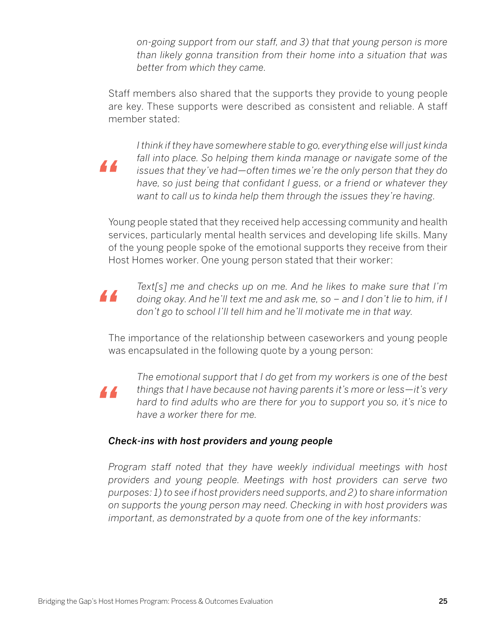*on-going support from our staff, and 3) that that young person is more than likely gonna transition from their home into a situation that was better from which they came.*

Staff members also shared that the supports they provide to young people are key. These supports were described as consistent and reliable. A staff member stated:

*I think if they have somewhere stable to go, everything else will just kinda fall into place. So helping them kinda manage or navigate some of the issues that they've had—often times we're the only person that they do have, so just being that confidant I guess, or a friend or whatever they want to call us to kinda help them through the issues they're having.*

Young people stated that they received help accessing community and health services, particularly mental health services and developing life skills. Many of the young people spoke of the emotional supports they receive from their Host Homes worker. One young person stated that their worker:

*Text[s] me and checks up on me. And he likes to make sure that I'm doing okay. And he'll text me and ask me, so – and I don't lie to him, if I don't go to school I'll tell him and he'll motivate me in that way.*

The importance of the relationship between caseworkers and young people was encapsulated in the following quote by a young person:

*"*

*"*

*"*

*The emotional support that I do get from my workers is one of the best things that I have because not having parents it's more or less—it's very hard to find adults who are there for you to support you so, it's nice to have a worker there for me.*

### *Check-ins with host providers and young people*

*Program staff noted that they have weekly individual meetings with host providers and young people. Meetings with host providers can serve two purposes: 1) to see if host providers need supports, and 2) to share information on supports the young person may need. Checking in with host providers was important, as demonstrated by a quote from one of the key informants:*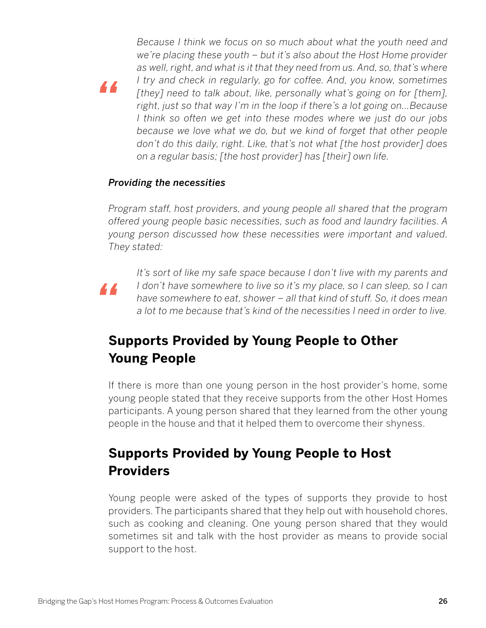*Because I think we focus on so much about what the youth need and we're placing these youth – but it's also about the Host Home provider as well, right, and what is it that they need from us. And, so, that's where I try and check in regularly, go for coffee. And, you know, sometimes [they] need to talk about, like, personally what's going on for [them], right, just so that way I'm in the loop if there's a lot going on…Because I think so often we get into these modes where we just do our jobs because we love what we do, but we kind of forget that other people don't do this daily, right. Like, that's not what [the host provider] does on a regular basis; [the host provider] has [their] own life.*

#### *Providing the necessities*

*Program staff, host providers, and young people all shared that the program offered young people basic necessities, such as food and laundry facilities. A young person discussed how these necessities were important and valued. They stated:*



*"*

*It's sort of like my safe space because I don't live with my parents and I* don't have somewhere to live so it's my place, so I can sleep, so I can *have somewhere to eat, shower – all that kind of stuff. So, it does mean a lot to me because that's kind of the necessities I need in order to live.*

# **Supports Provided by Young People to Other Young People**

If there is more than one young person in the host provider's home, some young people stated that they receive supports from the other Host Homes participants. A young person shared that they learned from the other young people in the house and that it helped them to overcome their shyness.

# **Supports Provided by Young People to Host Providers**

Young people were asked of the types of supports they provide to host providers. The participants shared that they help out with household chores, such as cooking and cleaning. One young person shared that they would sometimes sit and talk with the host provider as means to provide social support to the host.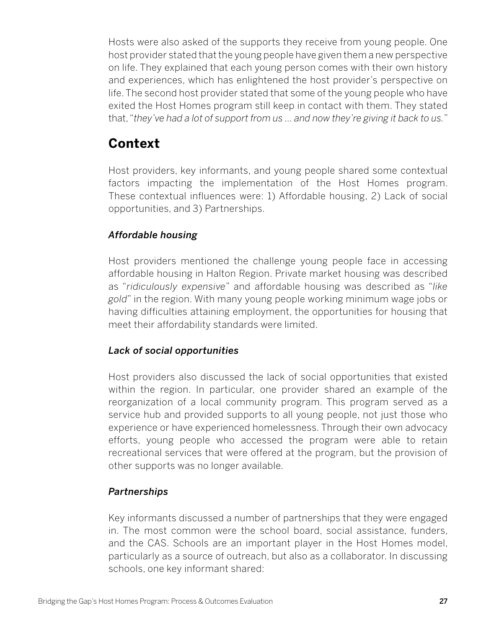Hosts were also asked of the supports they receive from young people. One host provider stated that the young people have given them a new perspective on life. They explained that each young person comes with their own history and experiences, which has enlightened the host provider's perspective on life. The second host provider stated that some of the young people who have exited the Host Homes program still keep in contact with them. They stated that, "*they've had a lot of support from us … and now they're giving it back to us.*"

# **Context**

Host providers, key informants, and young people shared some contextual factors impacting the implementation of the Host Homes program. These contextual influences were: 1) Affordable housing, 2) Lack of social opportunities, and 3) Partnerships.

## *Affordable housing*

Host providers mentioned the challenge young people face in accessing affordable housing in Halton Region. Private market housing was described as "*ridiculously expensive*" and affordable housing was described as "*like gold*" in the region. With many young people working minimum wage jobs or having difficulties attaining employment, the opportunities for housing that meet their affordability standards were limited.

### *Lack of social opportunities*

Host providers also discussed the lack of social opportunities that existed within the region. In particular, one provider shared an example of the reorganization of a local community program. This program served as a service hub and provided supports to all young people, not just those who experience or have experienced homelessness. Through their own advocacy efforts, young people who accessed the program were able to retain recreational services that were offered at the program, but the provision of other supports was no longer available.

### *Partnerships*

Key informants discussed a number of partnerships that they were engaged in. The most common were the school board, social assistance, funders, and the CAS. Schools are an important player in the Host Homes model, particularly as a source of outreach, but also as a collaborator. In discussing schools, one key informant shared: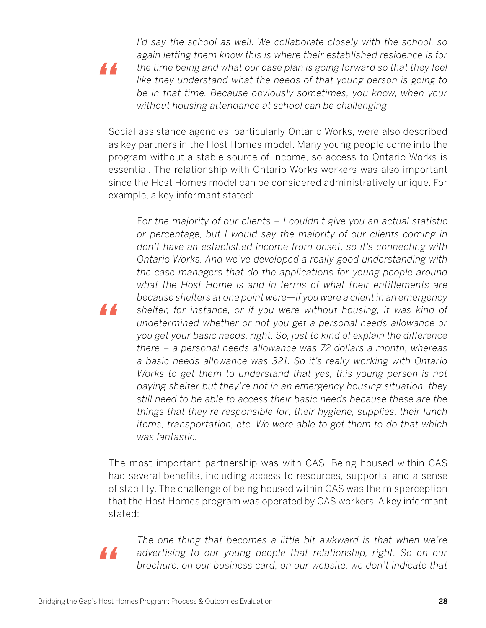*I'd say the school as well. We collaborate closely with the school, so again letting them know this is where their established residence is for the time being and what our case plan is going forward so that they feel like they understand what the needs of that young person is going to be in that time. Because obviously sometimes, you know, when your without housing attendance at school can be challenging.*

Social assistance agencies, particularly Ontario Works, were also described as key partners in the Host Homes model. Many young people come into the program without a stable source of income, so access to Ontario Works is essential. The relationship with Ontario Works workers was also important since the Host Homes model can be considered administratively unique. For example, a key informant stated:

F*or the majority of our clients – I couldn't give you an actual statistic or percentage, but I would say the majority of our clients coming in don't have an established income from onset, so it's connecting with Ontario Works. And we've developed a really good understanding with the case managers that do the applications for young people around what the Host Home is and in terms of what their entitlements are because shelters at one point were—if you were a client in an emergency shelter, for instance, or if you were without housing, it was kind of undetermined whether or not you get a personal needs allowance or you get your basic needs, right. So, just to kind of explain the difference there – a personal needs allowance was 72 dollars a month, whereas a basic needs allowance was 321. So it's really working with Ontario Works to get them to understand that yes, this young person is not paying shelter but they're not in an emergency housing situation, they still need to be able to access their basic needs because these are the things that they're responsible for; their hygiene, supplies, their lunch items, transportation, etc. We were able to get them to do that which was fantastic.*

The most important partnership was with CAS. Being housed within CAS had several benefits, including access to resources, supports, and a sense of stability. The challenge of being housed within CAS was the misperception that the Host Homes program was operated by CAS workers. A key informant stated:

*The one thing that becomes a little bit awkward is that when we're advertising to our young people that relationship, right. So on our brochure, on our business card, on our website, we don't indicate that* 

*"*

*"*

*"*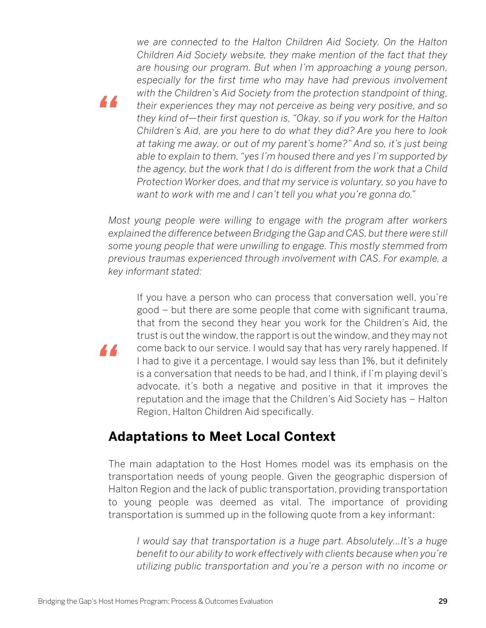*we are connected to the Halton Children Aid Society. On the Halton Children Aid Society website, they make mention of the fact that they are housing our program. But when I'm approaching a young person, especially for the first time who may have had previous involvement with the Children's Aid Society from the protection standpoint of thing, their experiences they may not perceive as being very positive, and so they kind of—their first question is, "Okay, so if you work for the Halton Children's Aid, are you here to do what they did? Are you here to look at taking me away, or out of my parent's home?" And so, it's just being able to explain to them, "yes I'm housed there and yes I'm supported by the agency, but the work that I do is different from the work that a Child Protection Worker does, and that my service is voluntary, so you have to want to work with me and I can't tell you what you're gonna do."*

*Most young people were willing to engage with the program after workers explained the difference between Bridging the Gap and CAS, but there were still some young people that were unwilling to engage. This mostly stemmed from previous traumas experienced through involvement with CAS. For example, a key informant stated:*

If you have a person who can process that conversation well, you're good – but there are some people that come with significant trauma, that from the second they hear you work for the Children's Aid, the trust is out the window, the rapport is out the window, and they may not come back to our service. I would say that has very rarely happened. If I had to give it a percentage, I would say less than 1%, but it definitely is a conversation that needs to be had, and I think, if I'm playing devil's advocate, it's both a negative and positive in that it improves the reputation and the image that the Children's Aid Society has – Halton Region, Halton Children Aid specifically.

# **Adaptations to Meet Local Context**

The main adaptation to the Host Homes model was its emphasis on the transportation needs of young people. Given the geographic dispersion of Halton Region and the lack of public transportation, providing transportation to young people was deemed as vital. The importance of providing transportation is summed up in the following quote from a key informant:

*I would say that transportation is a huge part. Absolutely…It's a huge benefit to our ability to work effectively with clients because when you're utilizing public transportation and you're a person with no income or* 

*"*

*"*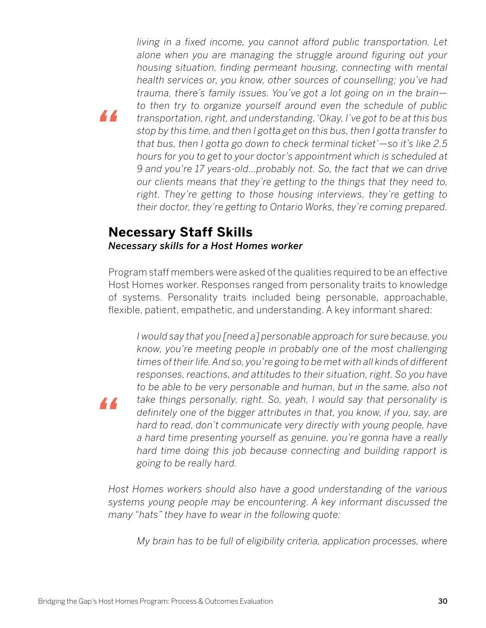*living in a fixed income, you cannot afford public transportation. Let alone when you are managing the struggle around figuring out your housing situation, finding permeant housing, connecting with mental health services or, you know, other sources of counselling; you've had trauma, there's family issues. You've got a lot going on in the brain to then try to organize yourself around even the schedule of public transportation, right, and understanding, 'Okay, I've got to be at this bus stop by this time, and then I gotta get on this bus, then I gotta transfer to that bus, then I gotta go down to check terminal ticket'—so it's like 2.5 hours for you to get to your doctor's appointment which is scheduled at 9 and you're 17 years-old…probably not. So, the fact that we can drive our clients means that they're getting to the things that they need to, right. They're getting to those housing interviews, they're getting to their doctor, they're getting to Ontario Works, they're coming prepared.*

# **Necessary Staff Skills** *Necessary skills for a Host Homes worker*

*"*

*"*

Program staff members were asked of the qualities required to be an effective Host Homes worker. Responses ranged from personality traits to knowledge of systems. Personality traits included being personable, approachable, flexible, patient, empathetic, and understanding. A key informant shared:

*I would say that you [need a] personable approach for sure because, you know, you're meeting people in probably one of the most challenging times of their life. And so, you're going to be met with all kinds of different responses, reactions, and attitudes to their situation, right. So you have to be able to be very personable and human, but in the same, also not take things personally, right. So, yeah, I would say that personality is definitely one of the bigger attributes in that, you know, if you, say, are hard to read, don't communicate very directly with young people, have a hard time presenting yourself as genuine, you're gonna have a really hard time doing this job because connecting and building rapport is going to be really hard.*

*Host Homes workers should also have a good understanding of the various systems young people may be encountering. A key informant discussed the many "hats" they have to wear in the following quote:*

*My brain has to be full of eligibility criteria, application processes, where*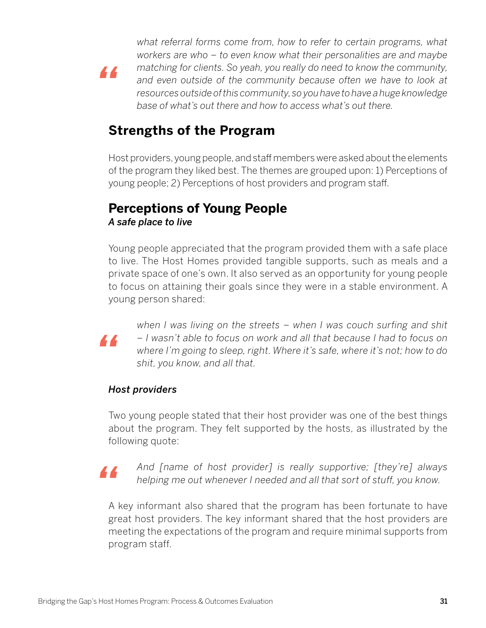*what referral forms come from, how to refer to certain programs, what workers are who – to even know what their personalities are and maybe matching for clients. So yeah, you really do need to know the community, and even outside of the community because often we have to look at resources outside of this community, so you have to have a huge knowledge base of what's out there and how to access what's out there.*

# **Strengths of the Program**

Host providers, young people, and staff members were asked about the elements of the program they liked best. The themes are grouped upon: 1) Perceptions of young people; 2) Perceptions of host providers and program staff.

# **Perceptions of Young People** *A safe place to live*

Young people appreciated that the program provided them with a safe place to live. The Host Homes provided tangible supports, such as meals and a private space of one's own. It also served as an opportunity for young people to focus on attaining their goals since they were in a stable environment. A young person shared:



*"*

*when I was living on the streets – when I was couch surfing and shit – I wasn't able to focus on work and all that because I had to focus on where I'm going to sleep, right. Where it's safe, where it's not; how to do shit, you know, and all that.*

### *Host providers*

Two young people stated that their host provider was one of the best things about the program. They felt supported by the hosts, as illustrated by the following quote:



*And [name of host provider] is really supportive; [they're] always helping me out whenever I needed and all that sort of stuff, you know.*

A key informant also shared that the program has been fortunate to have great host providers. The key informant shared that the host providers are meeting the expectations of the program and require minimal supports from program staff.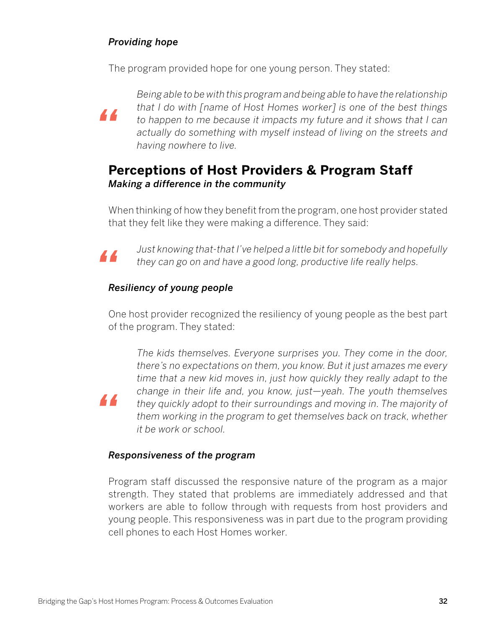### *Providing hope*

The program provided hope for one young person. They stated:



*Being able to be with this program and being able to have the relationship that I do with [name of Host Homes worker] is one of the best things to happen to me because it impacts my future and it shows that I can actually do something with myself instead of living on the streets and having nowhere to live.*

# **Perceptions of Host Providers & Program Staff** *Making a difference in the community*

When thinking of how they benefit from the program, one host provider stated that they felt like they were making a difference. They said:



*"*

*Just knowing that-that I've helped a little bit for somebody and hopefully they can go on and have a good long, productive life really helps.*

## *Resiliency of young people*

One host provider recognized the resiliency of young people as the best part of the program. They stated:

*The kids themselves. Everyone surprises you. They come in the door, there's no expectations on them, you know. But it just amazes me every time that a new kid moves in, just how quickly they really adapt to the change in their life and, you know, just—yeah. The youth themselves they quickly adopt to their surroundings and moving in. The majority of them working in the program to get themselves back on track, whether it be work or school.*

### *Responsiveness of the program*

Program staff discussed the responsive nature of the program as a major strength. They stated that problems are immediately addressed and that workers are able to follow through with requests from host providers and young people. This responsiveness was in part due to the program providing cell phones to each Host Homes worker.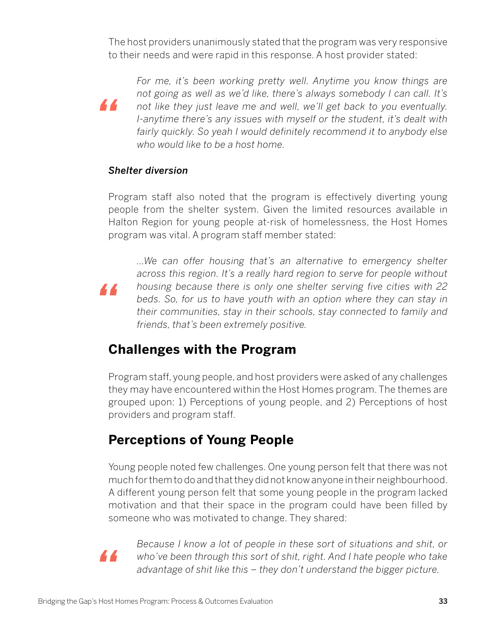The host providers unanimously stated that the program was very responsive to their needs and were rapid in this response. A host provider stated:

*For me, it's been working pretty well. Anytime you know things are not going as well as we'd like, there's always somebody I can call. It's not like they just leave me and well, we'll get back to you eventually. I-anytime there's any issues with myself or the student, it's dealt with fairly quickly. So yeah I would definitely recommend it to anybody else who would like to be a host home.* 

#### *Shelter diversion*

*"*

*"*

Program staff also noted that the program is effectively diverting young people from the shelter system. Given the limited resources available in Halton Region for young people at-risk of homelessness, the Host Homes program was vital. A program staff member stated:

*…We can offer housing that's an alternative to emergency shelter across this region. It's a really hard region to serve for people without housing because there is only one shelter serving five cities with 22 beds. So, for us to have youth with an option where they can stay in their communities, stay in their schools, stay connected to family and friends, that's been extremely positive.*

# **Challenges with the Program**

Program staff, young people, and host providers were asked of any challenges they may have encountered within the Host Homes program. The themes are grouped upon: 1) Perceptions of young people, and 2) Perceptions of host providers and program staff.

# **Perceptions of Young People**

Young people noted few challenges. One young person felt that there was not much for them to do and that they did not know anyone in their neighbourhood. A different young person felt that some young people in the program lacked motivation and that their space in the program could have been filled by someone who was motivated to change. They shared:



*Because I know a lot of people in these sort of situations and shit, or who've been through this sort of shit, right. And I hate people who take advantage of shit like this – they don't understand the bigger picture.*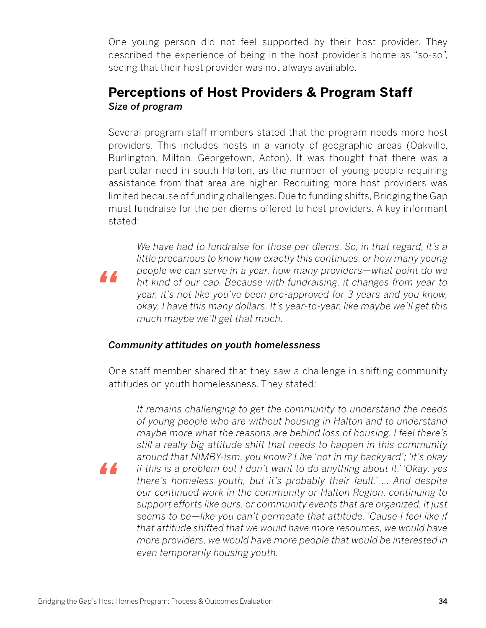One young person did not feel supported by their host provider. They described the experience of being in the host provider's home as "so-so", seeing that their host provider was not always available.

# **Perceptions of Host Providers & Program Staff** *Size of program*

Several program staff members stated that the program needs more host providers. This includes hosts in a variety of geographic areas (Oakville, Burlington, Milton, Georgetown, Acton). It was thought that there was a particular need in south Halton, as the number of young people requiring assistance from that area are higher. Recruiting more host providers was limited because of funding challenges. Due to funding shifts, Bridging the Gap must fundraise for the per diems offered to host providers. A key informant stated:

*We have had to fundraise for those per diems. So, in that regard, it's a little precarious to know how exactly this continues, or how many young people we can serve in a year, how many providers—what point do we hit kind of our cap. Because with fundraising, it changes from year to year, it's not like you've been pre-approved for 3 years and you know, okay, I have this many dollars. It's year-to-year, like maybe we'll get this much maybe we'll get that much.*

### *Community attitudes on youth homelessness*

One staff member shared that they saw a challenge in shifting community attitudes on youth homelessness. They stated:

*It remains challenging to get the community to understand the needs of young people who are without housing in Halton and to understand maybe more what the reasons are behind loss of housing. I feel there's still a really big attitude shift that needs to happen in this community around that NIMBY-ism, you know? Like 'not in my backyard'; 'it's okay if this is a problem but I don't want to do anything about it.' 'Okay, yes there's homeless youth, but it's probably their fault.' … And despite our continued work in the community or Halton Region, continuing to support efforts like ours, or community events that are organized, it just seems to be—like you can't permeate that attitude. 'Cause I feel like if that attitude shifted that we would have more resources, we would have more providers, we would have more people that would be interested in even temporarily housing youth.*

*"*

*"*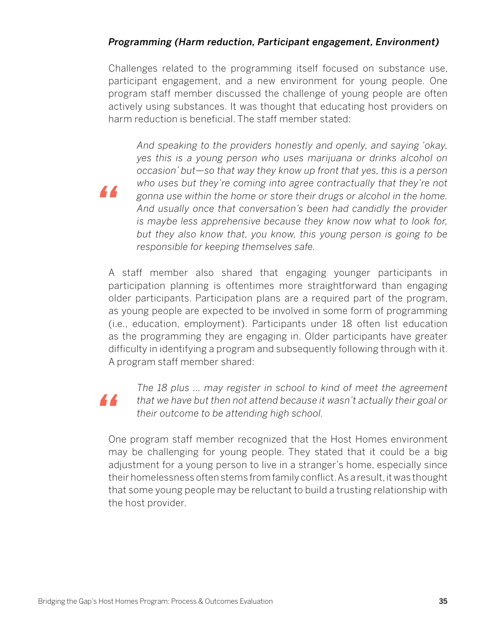## *Programming (Harm reduction, Participant engagement, Environment)*

Challenges related to the programming itself focused on substance use, participant engagement, and a new environment for young people. One program staff member discussed the challenge of young people are often actively using substances. It was thought that educating host providers on harm reduction is beneficial. The staff member stated:

*And speaking to the providers honestly and openly, and saying 'okay, yes this is a young person who uses marijuana or drinks alcohol on occasion' but—so that way they know up front that yes, this is a person who uses but they're coming into agree contractually that they're not gonna use within the home or store their drugs or alcohol in the home. And usually once that conversation's been had candidly the provider is maybe less apprehensive because they know now what to look for, but they also know that, you know, this young person is going to be responsible for keeping themselves safe.*

A staff member also shared that engaging younger participants in participation planning is oftentimes more straightforward than engaging older participants. Participation plans are a required part of the program, as young people are expected to be involved in some form of programming (i.e., education, employment). Participants under 18 often list education as the programming they are engaging in. Older participants have greater difficulty in identifying a program and subsequently following through with it. A program staff member shared:

# *"*

*"*

*The 18 plus … may register in school to kind of meet the agreement that we have but then not attend because it wasn't actually their goal or their outcome to be attending high school.*

One program staff member recognized that the Host Homes environment may be challenging for young people. They stated that it could be a big adjustment for a young person to live in a stranger's home, especially since their homelessness often stems from family conflict. As a result, it was thought that some young people may be reluctant to build a trusting relationship with the host provider.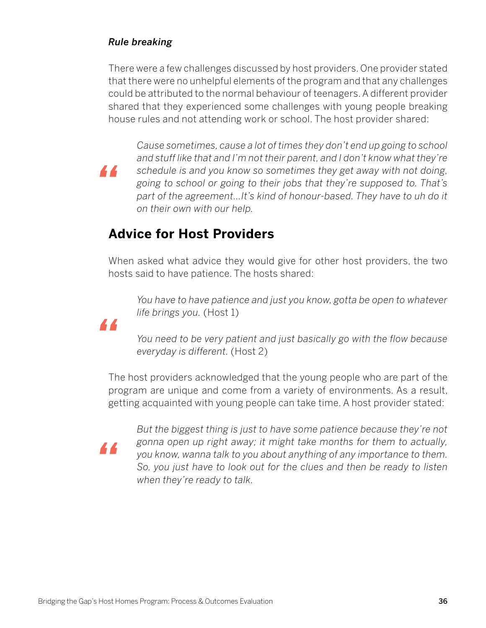### *Rule breaking*

*"*

There were a few challenges discussed by host providers. One provider stated that there were no unhelpful elements of the program and that any challenges could be attributed to the normal behaviour of teenagers. A different provider shared that they experienced some challenges with young people breaking house rules and not attending work or school. The host provider shared:

*Cause sometimes, cause a lot of times they don't end up going to school and stuff like that and I'm not their parent, and I don't know what they're schedule is and you know so sometimes they get away with not doing, going to school or going to their jobs that they're supposed to. That's part of the agreement…It's kind of honour-based. They have to uh do it on their own with our help.*

# **Advice for Host Providers**

When asked what advice they would give for other host providers, the two hosts said to have patience. The hosts shared:

*You have to have patience and just you know, gotta be open to whatever life brings you.* (Host 1)

*You need to be very patient and just basically go with the flow because everyday is different.* (Host 2)

The host providers acknowledged that the young people who are part of the program are unique and come from a variety of environments. As a result, getting acquainted with young people can take time. A host provider stated:

*"*

*"*

*But the biggest thing is just to have some patience because they're not gonna open up right away; it might take months for them to actually, you know, wanna talk to you about anything of any importance to them. So, you just have to look out for the clues and then be ready to listen when they're ready to talk.*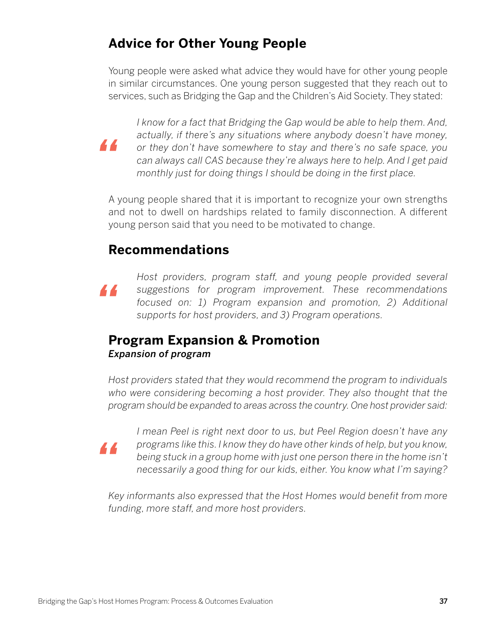# **Advice for Other Young People**

Young people were asked what advice they would have for other young people in similar circumstances. One young person suggested that they reach out to services, such as Bridging the Gap and the Children's Aid Society. They stated:

*"*

*"*

*"*

*I know for a fact that Bridging the Gap would be able to help them. And, actually, if there's any situations where anybody doesn't have money, or they don't have somewhere to stay and there's no safe space, you can always call CAS because they're always here to help. And I get paid monthly just for doing things I should be doing in the first place.*

A young people shared that it is important to recognize your own strengths and not to dwell on hardships related to family disconnection. A different young person said that you need to be motivated to change.

# **Recommendations**

*Host providers, program staff, and young people provided several suggestions for program improvement. These recommendations focused on: 1) Program expansion and promotion, 2) Additional supports for host providers, and 3) Program operations.*

# **Program Expansion & Promotion** *Expansion of program*

*Host providers stated that they would recommend the program to individuals who were considering becoming a host provider. They also thought that the program should be expanded to areas across the country. One host provider said:*

*I mean Peel is right next door to us, but Peel Region doesn't have any programs like this. I know they do have other kinds of help, but you know, being stuck in a group home with just one person there in the home isn't necessarily a good thing for our kids, either. You know what I'm saying?*

*Key informants also expressed that the Host Homes would benefit from more funding, more staff, and more host providers.*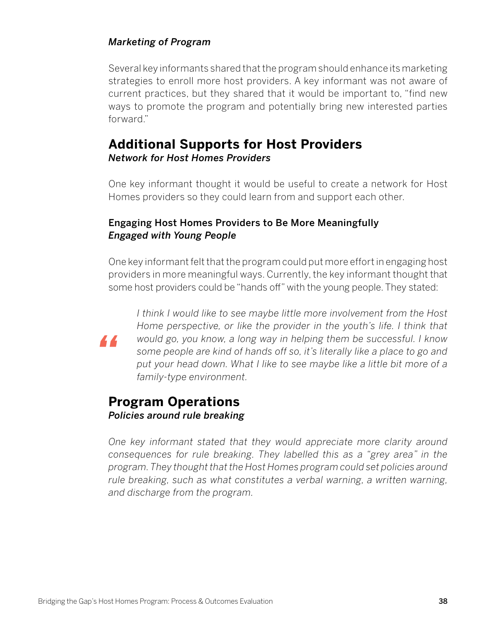### *Marketing of Program*

Several key informants shared that the program should enhance its marketing strategies to enroll more host providers. A key informant was not aware of current practices, but they shared that it would be important to, "find new ways to promote the program and potentially bring new interested parties forward."

## **Additional Supports for Host Providers** *Network for Host Homes Providers*

One key informant thought it would be useful to create a network for Host Homes providers so they could learn from and support each other.

### Engaging Host Homes Providers to Be More Meaningfully *Engaged with Young People*

One key informant felt that the program could put more effort in engaging host providers in more meaningful ways. Currently, the key informant thought that some host providers could be "hands off" with the young people. They stated:



*I think I would like to see maybe little more involvement from the Host Home perspective, or like the provider in the youth's life. I think that would go, you know, a long way in helping them be successful. I know some people are kind of hands off so, it's literally like a place to go and put your head down. What I like to see maybe like a little bit more of a family-type environment.*

# **Program Operations** *Policies around rule breaking*

*One key informant stated that they would appreciate more clarity around consequences for rule breaking. They labelled this as a "grey area" in the program. They thought that the Host Homes program could set policies around rule breaking, such as what constitutes a verbal warning, a written warning, and discharge from the program.*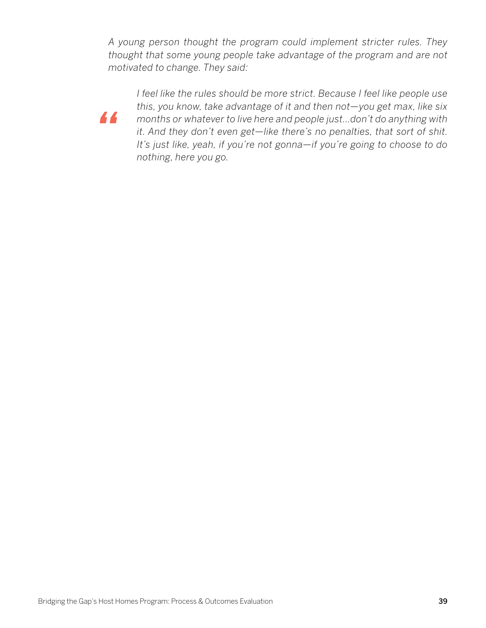*A young person thought the program could implement stricter rules. They thought that some young people take advantage of the program and are not motivated to change. They said:*



*I feel like the rules should be more strict. Because I feel like people use this, you know, take advantage of it and then not—you get max, like six months or whatever to live here and people just…don't do anything with it. And they don't even get—like there's no penalties, that sort of shit. It's just like, yeah, if you're not gonna—if you're going to choose to do nothing, here you go.*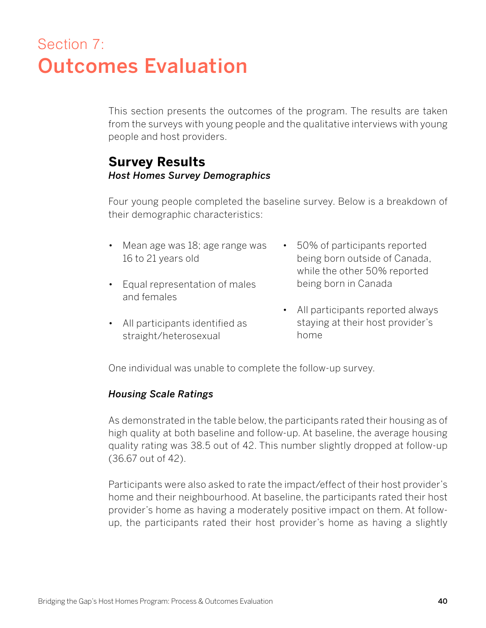# Section 7: Outcomes Evaluation

This section presents the outcomes of the program. The results are taken from the surveys with young people and the qualitative interviews with young people and host providers.

## **Survey Results** *Host Homes Survey Demographics*

Four young people completed the baseline survey. Below is a breakdown of their demographic characteristics:

- Mean age was 18; age range was 16 to 21 years old
- Equal representation of males and females
- All participants identified as straight/heterosexual
- 50% of participants reported being born outside of Canada, while the other 50% reported being born in Canada
- All participants reported always staying at their host provider's home

One individual was unable to complete the follow-up survey.

### *Housing Scale Ratings*

As demonstrated in the table below, the participants rated their housing as of high quality at both baseline and follow-up. At baseline, the average housing quality rating was 38.5 out of 42. This number slightly dropped at follow-up (36.67 out of 42).

Participants were also asked to rate the impact/effect of their host provider's home and their neighbourhood. At baseline, the participants rated their host provider's home as having a moderately positive impact on them. At followup, the participants rated their host provider's home as having a slightly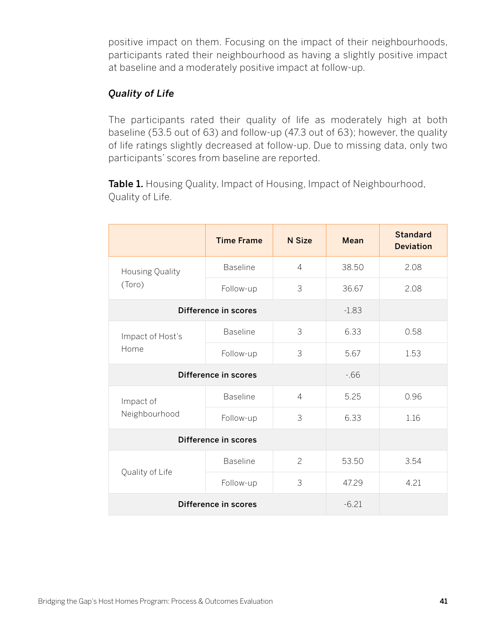positive impact on them. Focusing on the impact of their neighbourhoods, participants rated their neighbourhood as having a slightly positive impact at baseline and a moderately positive impact at follow-up.

## *Quality of Life*

The participants rated their quality of life as moderately high at both baseline (53.5 out of 63) and follow-up (47.3 out of 63); however, the quality of life ratings slightly decreased at follow-up. Due to missing data, only two participants' scores from baseline are reported.

Table 1. Housing Quality, Impact of Housing, Impact of Neighbourhood, Quality of Life.

|                            | <b>Time Frame</b> | <b>N</b> Size  | Mean  | <b>Standard</b><br><b>Deviation</b> |
|----------------------------|-------------------|----------------|-------|-------------------------------------|
| Housing Quality<br>(Toro)  | <b>Baseline</b>   | $\overline{4}$ | 38.50 | 2.08                                |
|                            | Follow-up         | 3              | 36.67 | 2.08                                |
| Difference in scores       | $-1.83$           |                |       |                                     |
| Impact of Host's<br>Home   | <b>Baseline</b>   | 3              | 6.33  | 0.58                                |
|                            | Follow-up         | 3              | 5.67  | 1.53                                |
| Difference in scores       | $-66$             |                |       |                                     |
| Impact of<br>Neighbourhood | <b>Baseline</b>   | $\overline{4}$ | 5.25  | 0.96                                |
|                            | Follow-up         | 3              | 6.33  | 1.16                                |
| Difference in scores       |                   |                |       |                                     |
|                            | <b>Baseline</b>   | $\overline{c}$ | 53.50 | 3.54                                |
| Quality of Life            | Follow-up         | 3              | 47.29 | 4.21                                |
| Difference in scores       | $-6.21$           |                |       |                                     |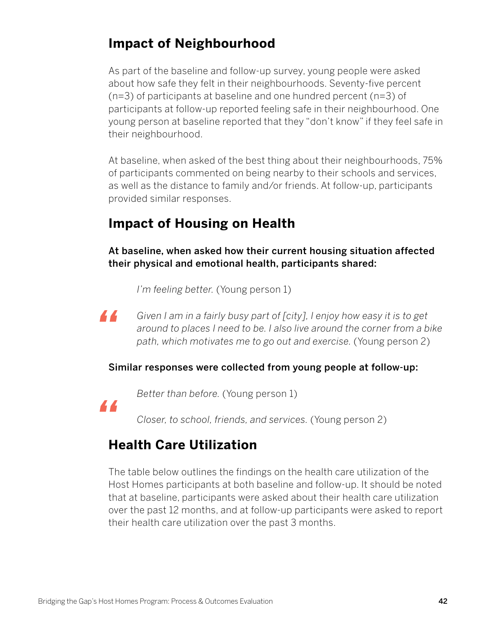# **Impact of Neighbourhood**

As part of the baseline and follow-up survey, young people were asked about how safe they felt in their neighbourhoods. Seventy-five percent (n=3) of participants at baseline and one hundred percent (n=3) of participants at follow-up reported feeling safe in their neighbourhood. One young person at baseline reported that they "don't know" if they feel safe in their neighbourhood.

At baseline, when asked of the best thing about their neighbourhoods, 75% of participants commented on being nearby to their schools and services, as well as the distance to family and/or friends. At follow-up, participants provided similar responses.

# **Impact of Housing on Health**

At baseline, when asked how their current housing situation affected their physical and emotional health, participants shared:

*I'm feeling better.* (Young person 1)

*Given I am in a fairly busy part of [city], I enjoy how easy it is to get around to places I need to be. I also live around the corner from a bike path, which motivates me to go out and exercise.* (Young person 2)

### Similar responses were collected from young people at follow-up:

*"*

*"*

*Better than before.* (Young person 1)

*Closer, to school, friends, and services.* (Young person 2)

# **Health Care Utilization**

The table below outlines the findings on the health care utilization of the Host Homes participants at both baseline and follow-up. It should be noted that at baseline, participants were asked about their health care utilization over the past 12 months, and at follow-up participants were asked to report their health care utilization over the past 3 months.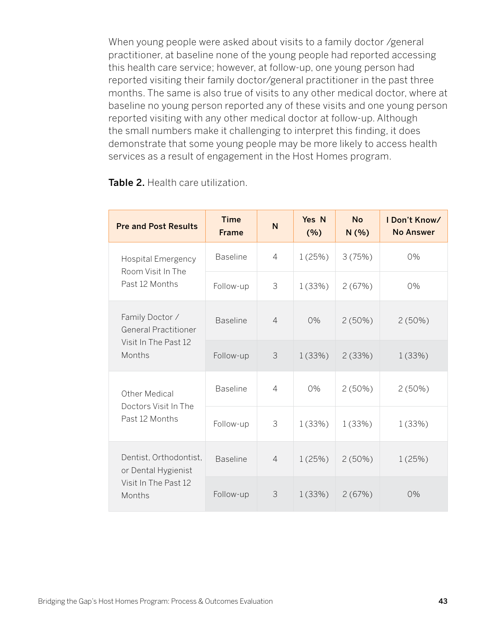When young people were asked about visits to a family doctor /general practitioner, at baseline none of the young people had reported accessing this health care service; however, at follow-up, one young person had reported visiting their family doctor/general practitioner in the past three months. The same is also true of visits to any other medical doctor, where at baseline no young person reported any of these visits and one young person reported visiting with any other medical doctor at follow-up. Although the small numbers make it challenging to interpret this finding, it does demonstrate that some young people may be more likely to access health services as a result of engagement in the Host Homes program.

| <b>Pre and Post Results</b>                                                      | <b>Time</b><br><b>Frame</b> | N              | Yes N<br>(%) | <b>No</b><br>N(% ) | I Don't Know/<br><b>No Answer</b> |
|----------------------------------------------------------------------------------|-----------------------------|----------------|--------------|--------------------|-----------------------------------|
| <b>Hospital Emergency</b><br>Room Visit In The<br>Past 12 Months                 | <b>Baseline</b>             | 4              | 1(25%)       | 3(75%)             | 0%                                |
|                                                                                  | Follow-up                   | 3              | 1(33%)       | 2(67%)             | 0%                                |
| Family Doctor /<br><b>General Practitioner</b><br>Visit In The Past 12<br>Months | <b>Baseline</b>             | $\overline{4}$ | 0%           | 2(50%)             | 2(50%)                            |
|                                                                                  | Follow-up                   | 3              | 1(33%)       | 2(33%)             | 1(33%)                            |
| Other Medical<br>Doctors Visit In The                                            | <b>Baseline</b>             | $\overline{4}$ | 0%           | 2(50%)             | 2(50%)                            |
| Past 12 Months                                                                   | Follow-up                   | 3              | 1(33%)       | 1(33%)             | 1(33%)                            |
| Dentist, Orthodontist,<br>or Dental Hygienist<br>Visit In The Past 12<br>Months  | <b>Baseline</b>             | $\overline{4}$ | 1(25%)       | $2(50\%)$          | 1(25%)                            |
|                                                                                  | Follow-up                   | 3              | 1(33%)       | 2(67%)             | 0%                                |

Table 2. Health care utilization.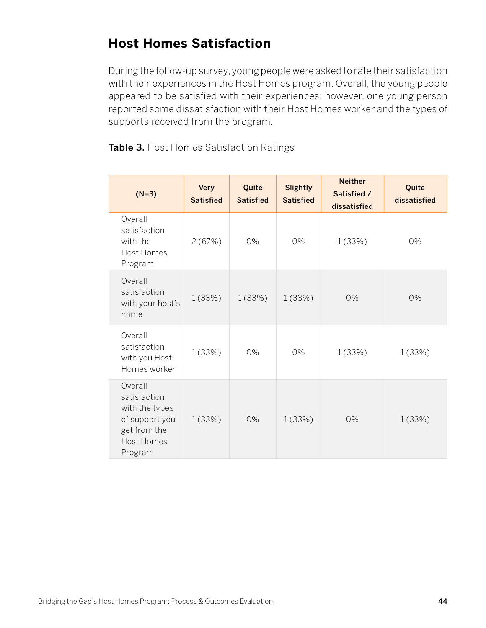# **Host Homes Satisfaction**

During the follow-up survey, young people were asked to rate their satisfaction with their experiences in the Host Homes program. Overall, the young people appeared to be satisfied with their experiences; however, one young person reported some dissatisfaction with their Host Homes worker and the types of supports received from the program.

Table 3. Host Homes Satisfaction Ratings

| $(N=3)$                                                                                              | <b>Very</b><br><b>Satisfied</b> | Quite<br><b>Satisfied</b> | <b>Slightly</b><br><b>Satisfied</b> | <b>Neither</b><br>Satisfied /<br>dissatisfied | Quite<br>dissatisfied |
|------------------------------------------------------------------------------------------------------|---------------------------------|---------------------------|-------------------------------------|-----------------------------------------------|-----------------------|
| Overall<br>satisfaction<br>with the<br><b>Host Homes</b><br>Program                                  | 2(67%)                          | 0%                        | 0%                                  | 1(33%)                                        | 0%                    |
| Overall<br>satisfaction<br>with your host's<br>home                                                  | 1(33%)                          | 1(33%)                    | 1(33%)                              | 0%                                            | 0%                    |
| Overall<br>satisfaction<br>with you Host<br>Homes worker                                             | 1(33%)                          | 0%                        | 0%                                  | 1(33%)                                        | 1(33%)                |
| Overall<br>satisfaction<br>with the types<br>of support you<br>get from the<br>Host Homes<br>Program | 1(33%)                          | 0%                        | 1(33%)                              | 0%                                            | 1(33%)                |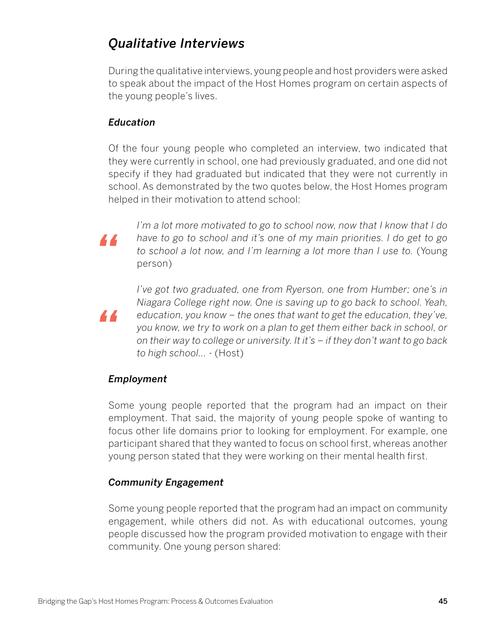# *Qualitative Interviews*

During the qualitative interviews, young people and host providers were asked to speak about the impact of the Host Homes program on certain aspects of the young people's lives.

## *Education*

Of the four young people who completed an interview, two indicated that they were currently in school, one had previously graduated, and one did not specify if they had graduated but indicated that they were not currently in school. As demonstrated by the two quotes below, the Host Homes program helped in their motivation to attend school:

*"*

*"*

*I'm a lot more motivated to go to school now, now that I know that I do have to go to school and it's one of my main priorities. I do get to go to school a lot now, and I'm learning a lot more than I use to.* (Young person)

*I've got two graduated, one from Ryerson, one from Humber; one's in Niagara College right now. One is saving up to go back to school. Yeah, education, you know – the ones that want to get the education, they've, you know, we try to work on a plan to get them either back in school, or on their way to college or university. It it's – if they don't want to go back to high school…* - (Host)

### *Employment*

Some young people reported that the program had an impact on their employment. That said, the majority of young people spoke of wanting to focus other life domains prior to looking for employment. For example, one participant shared that they wanted to focus on school first, whereas another young person stated that they were working on their mental health first.

## *Community Engagement*

Some young people reported that the program had an impact on community engagement, while others did not. As with educational outcomes, young people discussed how the program provided motivation to engage with their community. One young person shared: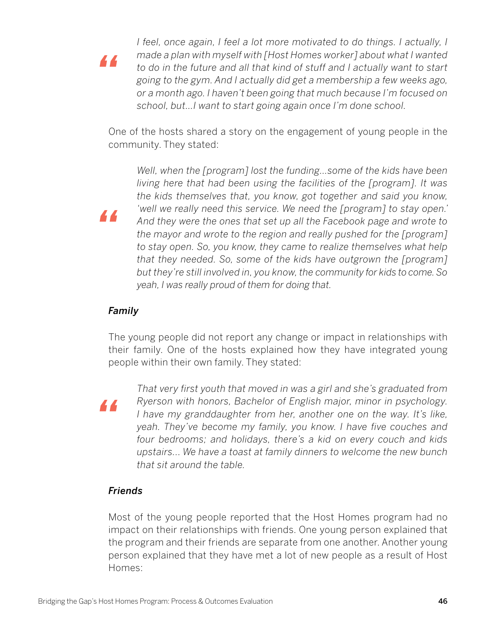*I feel, once again, I feel a lot more motivated to do things. I actually, I made a plan with myself with [Host Homes worker] about what I wanted to do in the future and all that kind of stuff and I actually want to start going to the gym. And I actually did get a membership a few weeks ago, or a month ago. I haven't been going that much because I'm focused on school, but…I want to start going again once I'm done school.*

One of the hosts shared a story on the engagement of young people in the community. They stated:

*Well, when the [program] lost the funding…some of the kids have been living here that had been using the facilities of the [program]. It was the kids themselves that, you know, got together and said you know, 'well we really need this service. We need the [program] to stay open.' And they were the ones that set up all the Facebook page and wrote to the mayor and wrote to the region and really pushed for the [program] to stay open. So, you know, they came to realize themselves what help that they needed. So, some of the kids have outgrown the [program] but they're still involved in, you know, the community for kids to come. So yeah, I was really proud of them for doing that.*

#### *Family*

*"*

*"*

The young people did not report any change or impact in relationships with their family. One of the hosts explained how they have integrated young people within their own family. They stated:

*"*

*That very first youth that moved in was a girl and she's graduated from Ryerson with honors, Bachelor of English major, minor in psychology. I have my granddaughter from her, another one on the way. It's like, yeah. They've become my family, you know. I have five couches and four bedrooms; and holidays, there's a kid on every couch and kids upstairs... We have a toast at family dinners to welcome the new bunch that sit around the table.* 

#### *Friends*

Most of the young people reported that the Host Homes program had no impact on their relationships with friends. One young person explained that the program and their friends are separate from one another. Another young person explained that they have met a lot of new people as a result of Host Homes: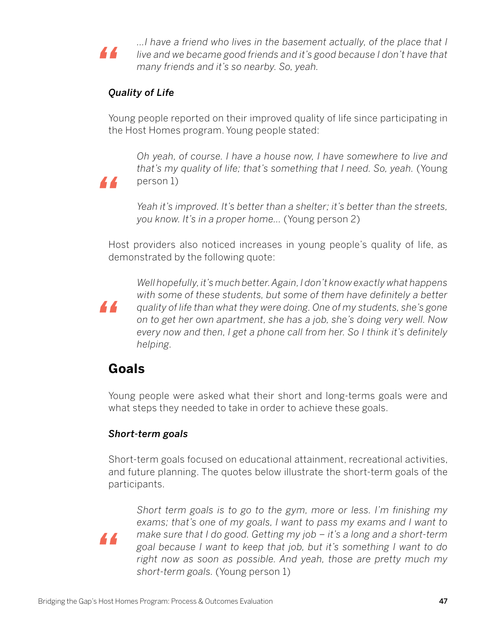

*…I have a friend who lives in the basement actually, of the place that I live and we became good friends and it's good because I don't have that many friends and it's so nearby. So, yeah.*

## *Quality of Life*

Young people reported on their improved quality of life since participating in the Host Homes program. Young people stated:

*Oh yeah, of course. I have a house now, I have somewhere to live and that's my quality of life; that's something that I need. So, yeah.* (Young person 1)

*Yeah it's improved. It's better than a shelter; it's better than the streets, you know. It's in a proper home…* (Young person 2)

Host providers also noticed increases in young people's quality of life, as demonstrated by the following quote:



*"*

*Well hopefully, it's much better. Again, I don't know exactly what happens with some of these students, but some of them have definitely a better quality of life than what they were doing. One of my students, she's gone on to get her own apartment, she has a job, she's doing very well. Now every now and then, I get a phone call from her. So I think it's definitely helping.* 

# **Goals**

Young people were asked what their short and long-terms goals were and what steps they needed to take in order to achieve these goals.

## *Short-term goals*

Short-term goals focused on educational attainment, recreational activities, and future planning. The quotes below illustrate the short-term goals of the participants.

*"*

*Short term goals is to go to the gym, more or less. I'm finishing my exams; that's one of my goals, I want to pass my exams and I want to make sure that I do good. Getting my job – it's a long and a short-term goal because I want to keep that job, but it's something I want to do right now as soon as possible. And yeah, those are pretty much my short-term goals.* (Young person 1)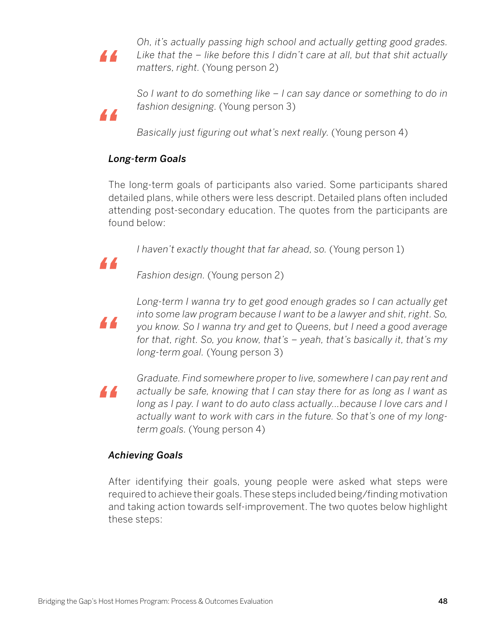*"*

*"*

*Oh, it's actually passing high school and actually getting good grades. Like that the – like before this I didn't care at all, but that shit actually matters, right.* (Young person 2)

*So I want to do something like – I can say dance or something to do in fashion designing.* (Young person 3)

*Basically just figuring out what's next really.* (Young person 4)

## *Long-term Goals*

The long-term goals of participants also varied. Some participants shared detailed plans, while others were less descript. Detailed plans often included attending post-secondary education. The quotes from the participants are found below:

*I haven't exactly thought that far ahead, so. (Young person 1)* 

*"*

*Fashion design.* (Young person 2)



*Long-term I wanna try to get good enough grades so I can actually get into some law program because I want to be a lawyer and shit, right. So, you know. So I wanna try and get to Queens, but I need a good average for that, right. So, you know, that's – yeah, that's basically it, that's my long-term goal.* (Young person 3)

*"*

*Graduate. Find somewhere proper to live, somewhere I can pay rent and actually be safe, knowing that I can stay there for as long as I want as long as I pay. I want to do auto class actually…because I love cars and I actually want to work with cars in the future. So that's one of my longterm goals.* (Young person 4)

## *Achieving Goals*

After identifying their goals, young people were asked what steps were required to achieve their goals. These steps included being/finding motivation and taking action towards self-improvement. The two quotes below highlight these steps: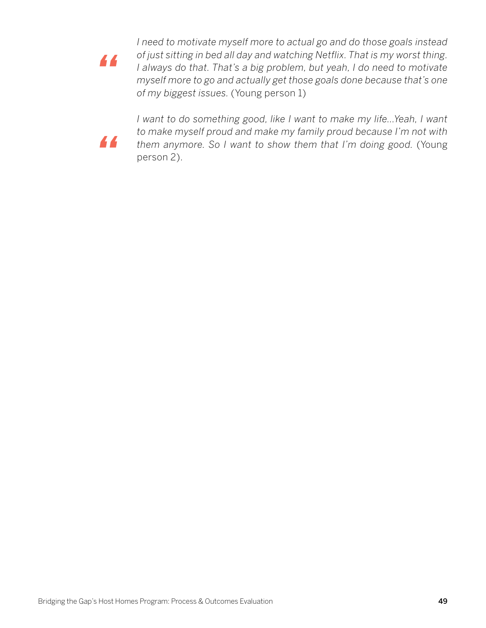*"*

*I need to motivate myself more to actual go and do those goals instead of just sitting in bed all day and watching Netflix. That is my worst thing. I always do that. That's a big problem, but yeah, I do need to motivate myself more to go and actually get those goals done because that's one of my biggest issues.* (Young person 1)



*I want to do something good, like I want to make my life...Yeah, I want to make myself proud and make my family proud because I'm not with them anymore. So I want to show them that I'm doing good.* (Young person 2).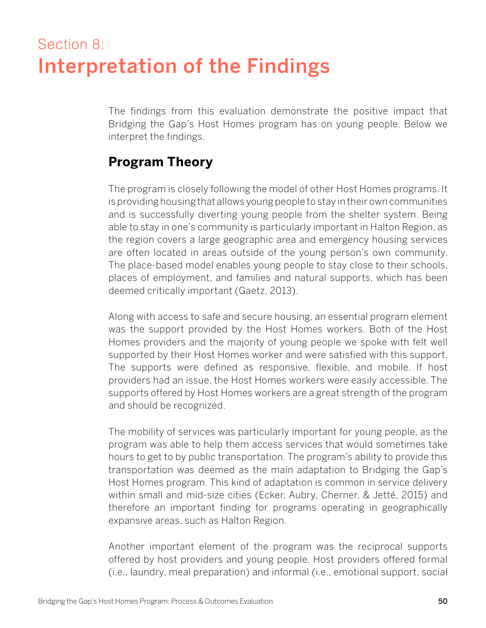# Section 8: Interpretation of the Findings

The findings from this evaluation demonstrate the positive impact that Bridging the Gap's Host Homes program has on young people. Below we interpret the findings.

# **Program Theory**

The program is closely following the model of other Host Homes programs. It is providing housing that allows young people to stay in their own communities and is successfully diverting young people from the shelter system. Being able to stay in one's community is particularly important in Halton Region, as the region covers a large geographic area and emergency housing services are often located in areas outside of the young person's own community. The place-based model enables young people to stay close to their schools, places of employment, and families and natural supports, which has been deemed critically important (Gaetz, 2013).

Along with access to safe and secure housing, an essential program element was the support provided by the Host Homes workers. Both of the Host Homes providers and the majority of young people we spoke with felt well supported by their Host Homes worker and were satisfied with this support. The supports were defined as responsive, flexible, and mobile. If host providers had an issue, the Host Homes workers were easily accessible. The supports offered by Host Homes workers are a great strength of the program and should be recognized.

The mobility of services was particularly important for young people, as the program was able to help them access services that would sometimes take hours to get to by public transportation. The program's ability to provide this transportation was deemed as the main adaptation to Bridging the Gap's Host Homes program. This kind of adaptation is common in service delivery within small and mid-size cities (Ecker, Aubry, Cherner, & Jetté, 2015) and therefore an important finding for programs operating in geographically expansive areas, such as Halton Region.

Another important element of the program was the reciprocal supports offered by host providers and young people. Host providers offered formal (i.e., laundry, meal preparation) and informal (i.e., emotional support, social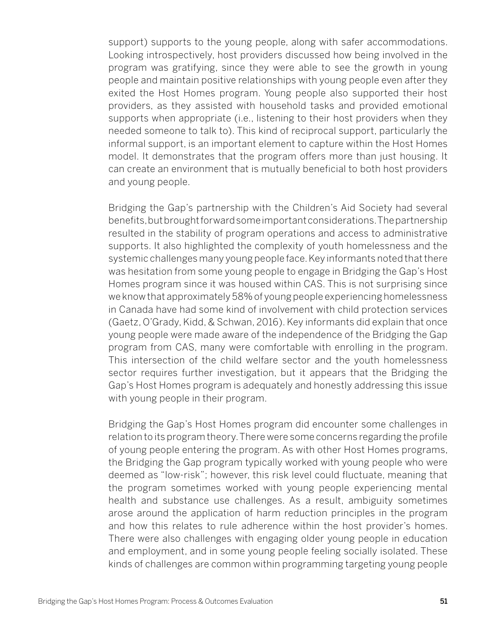support) supports to the young people, along with safer accommodations. Looking introspectively, host providers discussed how being involved in the program was gratifying, since they were able to see the growth in young people and maintain positive relationships with young people even after they exited the Host Homes program. Young people also supported their host providers, as they assisted with household tasks and provided emotional supports when appropriate (i.e., listening to their host providers when they needed someone to talk to). This kind of reciprocal support, particularly the informal support, is an important element to capture within the Host Homes model. It demonstrates that the program offers more than just housing. It can create an environment that is mutually beneficial to both host providers and young people.

Bridging the Gap's partnership with the Children's Aid Society had several benefits, but brought forward some important considerations. The partnership resulted in the stability of program operations and access to administrative supports. It also highlighted the complexity of youth homelessness and the systemic challenges many young people face. Key informants noted that there was hesitation from some young people to engage in Bridging the Gap's Host Homes program since it was housed within CAS. This is not surprising since we know that approximately 58% of young people experiencing homelessness in Canada have had some kind of involvement with child protection services (Gaetz, O'Grady, Kidd, & Schwan, 2016). Key informants did explain that once young people were made aware of the independence of the Bridging the Gap program from CAS, many were comfortable with enrolling in the program. This intersection of the child welfare sector and the youth homelessness sector requires further investigation, but it appears that the Bridging the Gap's Host Homes program is adequately and honestly addressing this issue with young people in their program.

Bridging the Gap's Host Homes program did encounter some challenges in relation to its program theory. There were some concerns regarding the profile of young people entering the program. As with other Host Homes programs, the Bridging the Gap program typically worked with young people who were deemed as "low-risk"; however, this risk level could fluctuate, meaning that the program sometimes worked with young people experiencing mental health and substance use challenges. As a result, ambiguity sometimes arose around the application of harm reduction principles in the program and how this relates to rule adherence within the host provider's homes. There were also challenges with engaging older young people in education and employment, and in some young people feeling socially isolated. These kinds of challenges are common within programming targeting young people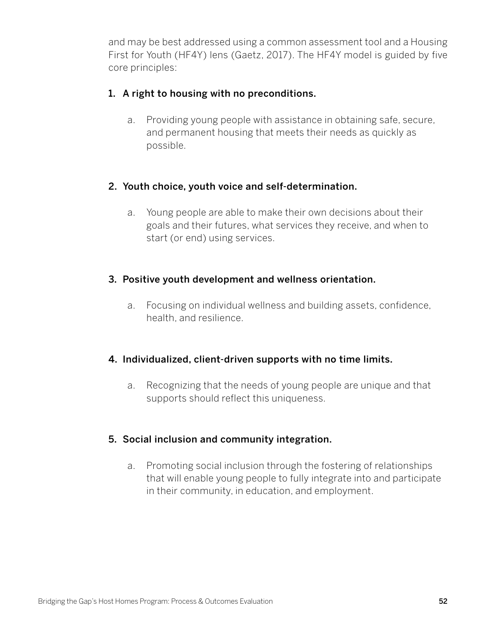and may be best addressed using a common assessment tool and a Housing First for Youth (HF4Y) lens (Gaetz, 2017). The HF4Y model is guided by five core principles:

### 1. A right to housing with no preconditions.

a. Providing young people with assistance in obtaining safe, secure, and permanent housing that meets their needs as quickly as possible.

#### 2. Youth choice, youth voice and self-determination.

a. Young people are able to make their own decisions about their goals and their futures, what services they receive, and when to start (or end) using services.

#### 3. Positive youth development and wellness orientation.

a. Focusing on individual wellness and building assets, confidence, health, and resilience.

### 4. Individualized, client-driven supports with no time limits.

a. Recognizing that the needs of young people are unique and that supports should reflect this uniqueness.

### 5. Social inclusion and community integration.

a. Promoting social inclusion through the fostering of relationships that will enable young people to fully integrate into and participate in their community, in education, and employment.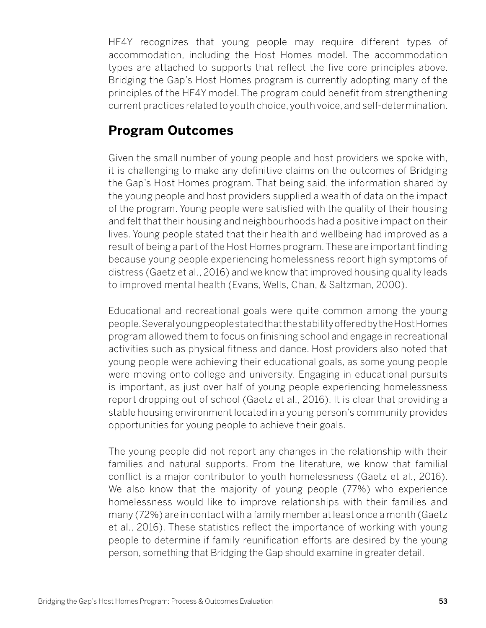HF4Y recognizes that young people may require different types of accommodation, including the Host Homes model. The accommodation types are attached to supports that reflect the five core principles above. Bridging the Gap's Host Homes program is currently adopting many of the principles of the HF4Y model. The program could benefit from strengthening current practices related to youth choice, youth voice, and self-determination.

# **Program Outcomes**

Given the small number of young people and host providers we spoke with, it is challenging to make any definitive claims on the outcomes of Bridging the Gap's Host Homes program. That being said, the information shared by the young people and host providers supplied a wealth of data on the impact of the program. Young people were satisfied with the quality of their housing and felt that their housing and neighbourhoods had a positive impact on their lives. Young people stated that their health and wellbeing had improved as a result of being a part of the Host Homes program. These are important finding because young people experiencing homelessness report high symptoms of distress (Gaetz et al., 2016) and we know that improved housing quality leads to improved mental health (Evans, Wells, Chan, & Saltzman, 2000).

Educational and recreational goals were quite common among the young people. Several young people stated that the stability offered by the Host Homes program allowed them to focus on finishing school and engage in recreational activities such as physical fitness and dance. Host providers also noted that young people were achieving their educational goals, as some young people were moving onto college and university. Engaging in educational pursuits is important, as just over half of young people experiencing homelessness report dropping out of school (Gaetz et al., 2016). It is clear that providing a stable housing environment located in a young person's community provides opportunities for young people to achieve their goals.

The young people did not report any changes in the relationship with their families and natural supports. From the literature, we know that familial conflict is a major contributor to youth homelessness (Gaetz et al., 2016). We also know that the majority of young people (77%) who experience homelessness would like to improve relationships with their families and many (72%) are in contact with a family member at least once a month (Gaetz et al., 2016). These statistics reflect the importance of working with young people to determine if family reunification efforts are desired by the young person, something that Bridging the Gap should examine in greater detail.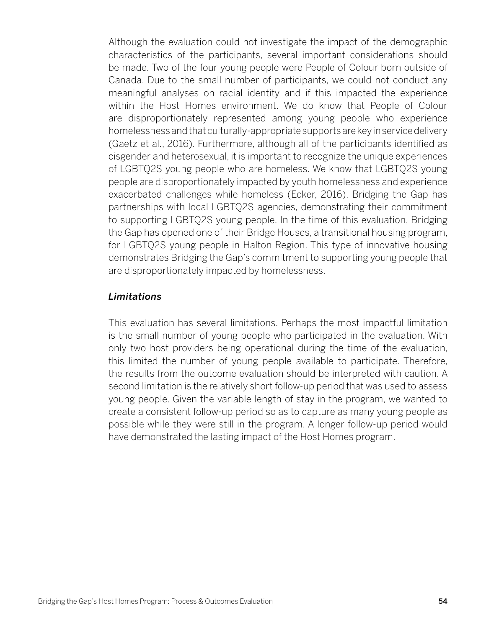Although the evaluation could not investigate the impact of the demographic characteristics of the participants, several important considerations should be made. Two of the four young people were People of Colour born outside of Canada. Due to the small number of participants, we could not conduct any meaningful analyses on racial identity and if this impacted the experience within the Host Homes environment. We do know that People of Colour are disproportionately represented among young people who experience homelessness and that culturally-appropriate supports are key in service delivery (Gaetz et al., 2016). Furthermore, although all of the participants identified as cisgender and heterosexual, it is important to recognize the unique experiences of LGBTQ2S young people who are homeless. We know that LGBTQ2S young people are disproportionately impacted by youth homelessness and experience exacerbated challenges while homeless (Ecker, 2016). Bridging the Gap has partnerships with local LGBTQ2S agencies, demonstrating their commitment to supporting LGBTQ2S young people. In the time of this evaluation, Bridging the Gap has opened one of their Bridge Houses, a transitional housing program, for LGBTQ2S young people in Halton Region. This type of innovative housing demonstrates Bridging the Gap's commitment to supporting young people that are disproportionately impacted by homelessness.

#### *Limitations*

This evaluation has several limitations. Perhaps the most impactful limitation is the small number of young people who participated in the evaluation. With only two host providers being operational during the time of the evaluation, this limited the number of young people available to participate. Therefore, the results from the outcome evaluation should be interpreted with caution. A second limitation is the relatively short follow-up period that was used to assess young people. Given the variable length of stay in the program, we wanted to create a consistent follow-up period so as to capture as many young people as possible while they were still in the program. A longer follow-up period would have demonstrated the lasting impact of the Host Homes program.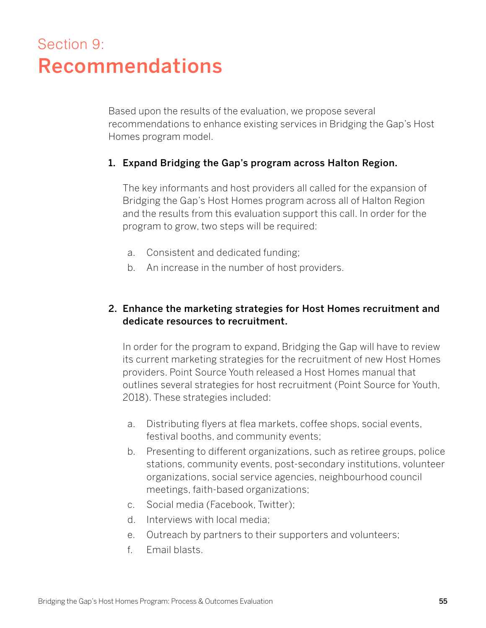# Section 9: Recommendations

Based upon the results of the evaluation, we propose several recommendations to enhance existing services in Bridging the Gap's Host Homes program model.

#### 1. Expand Bridging the Gap's program across Halton Region.

The key informants and host providers all called for the expansion of Bridging the Gap's Host Homes program across all of Halton Region and the results from this evaluation support this call. In order for the program to grow, two steps will be required:

- a. Consistent and dedicated funding;
- b. An increase in the number of host providers.

#### 2. Enhance the marketing strategies for Host Homes recruitment and dedicate resources to recruitment.

In order for the program to expand, Bridging the Gap will have to review its current marketing strategies for the recruitment of new Host Homes providers. Point Source Youth released a Host Homes manual that outlines several strategies for host recruitment (Point Source for Youth, 2018). These strategies included:

- a. Distributing flyers at flea markets, coffee shops, social events, festival booths, and community events;
- b. Presenting to different organizations, such as retiree groups, police stations, community events, post-secondary institutions, volunteer organizations, social service agencies, neighbourhood council meetings, faith-based organizations;
- c. Social media (Facebook, Twitter);
- d. Interviews with local media;
- e. Outreach by partners to their supporters and volunteers;
- f. Email blasts.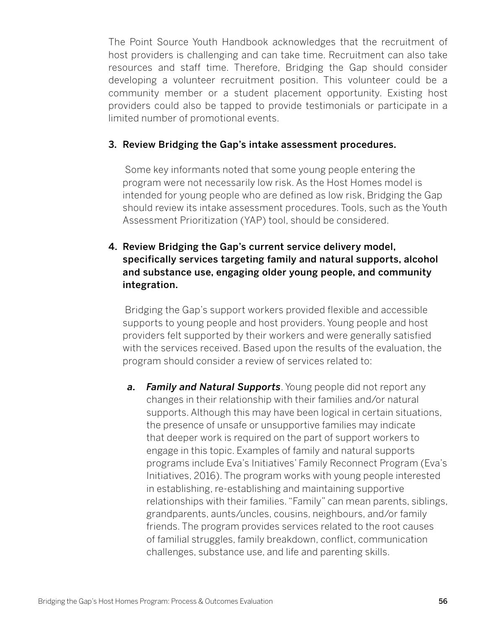The Point Source Youth Handbook acknowledges that the recruitment of host providers is challenging and can take time. Recruitment can also take resources and staff time. Therefore, Bridging the Gap should consider developing a volunteer recruitment position. This volunteer could be a community member or a student placement opportunity. Existing host providers could also be tapped to provide testimonials or participate in a limited number of promotional events.

#### 3. Review Bridging the Gap's intake assessment procedures.

 Some key informants noted that some young people entering the program were not necessarily low risk. As the Host Homes model is intended for young people who are defined as low risk, Bridging the Gap should review its intake assessment procedures. Tools, such as the Youth Assessment Prioritization (YAP) tool, should be considered.

### 4. Review Bridging the Gap's current service delivery model, specifically services targeting family and natural supports, alcohol and substance use, engaging older young people, and community integration.

 Bridging the Gap's support workers provided flexible and accessible supports to young people and host providers. Young people and host providers felt supported by their workers and were generally satisfied with the services received. Based upon the results of the evaluation, the program should consider a review of services related to:

*a. Family and Natural Supports*. Young people did not report any changes in their relationship with their families and/or natural supports. Although this may have been logical in certain situations, the presence of unsafe or unsupportive families may indicate that deeper work is required on the part of support workers to engage in this topic. Examples of family and natural supports programs include Eva's Initiatives' Family Reconnect Program (Eva's Initiatives, 2016). The program works with young people interested in establishing, re-establishing and maintaining supportive relationships with their families. "Family" can mean parents, siblings, grandparents, aunts/uncles, cousins, neighbours, and/or family friends. The program provides services related to the root causes of familial struggles, family breakdown, conflict, communication challenges, substance use, and life and parenting skills.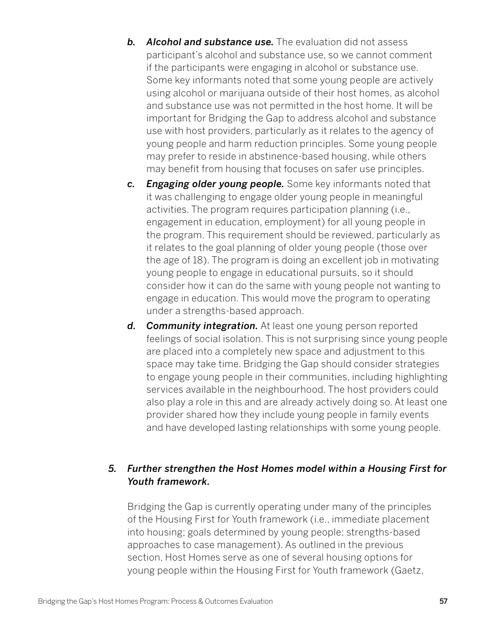- *b. Alcohol and substance use.* The evaluation did not assess participant's alcohol and substance use, so we cannot comment if the participants were engaging in alcohol or substance use. Some key informants noted that some young people are actively using alcohol or marijuana outside of their host homes, as alcohol and substance use was not permitted in the host home. It will be important for Bridging the Gap to address alcohol and substance use with host providers, particularly as it relates to the agency of young people and harm reduction principles. Some young people may prefer to reside in abstinence-based housing, while others may benefit from housing that focuses on safer use principles.
- *c. Engaging older young people.* Some key informants noted that it was challenging to engage older young people in meaningful activities. The program requires participation planning (i.e., engagement in education, employment) for all young people in the program. This requirement should be reviewed, particularly as it relates to the goal planning of older young people (those over the age of 18). The program is doing an excellent job in motivating young people to engage in educational pursuits, so it should consider how it can do the same with young people not wanting to engage in education. This would move the program to operating under a strengths-based approach.
- *d. Community integration.* At least one young person reported feelings of social isolation. This is not surprising since young people are placed into a completely new space and adjustment to this space may take time. Bridging the Gap should consider strategies to engage young people in their communities, including highlighting services available in the neighbourhood. The host providers could also play a role in this and are already actively doing so. At least one provider shared how they include young people in family events and have developed lasting relationships with some young people.

### *5. Further strengthen the Host Homes model within a Housing First for Youth framework.*

Bridging the Gap is currently operating under many of the principles of the Housing First for Youth framework (i.e., immediate placement into housing; goals determined by young people; strengths-based approaches to case management). As outlined in the previous section, Host Homes serve as one of several housing options for young people within the Housing First for Youth framework (Gaetz,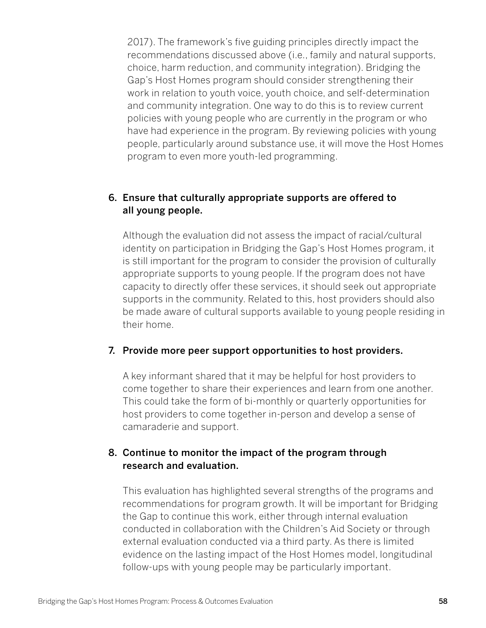2017). The framework's five guiding principles directly impact the recommendations discussed above (i.e., family and natural supports, choice, harm reduction, and community integration). Bridging the Gap's Host Homes program should consider strengthening their work in relation to youth voice, youth choice, and self-determination and community integration. One way to do this is to review current policies with young people who are currently in the program or who have had experience in the program. By reviewing policies with young people, particularly around substance use, it will move the Host Homes program to even more youth-led programming.

### 6. Ensure that culturally appropriate supports are offered to all young people.

Although the evaluation did not assess the impact of racial/cultural identity on participation in Bridging the Gap's Host Homes program, it is still important for the program to consider the provision of culturally appropriate supports to young people. If the program does not have capacity to directly offer these services, it should seek out appropriate supports in the community. Related to this, host providers should also be made aware of cultural supports available to young people residing in their home.

#### 7. Provide more peer support opportunities to host providers.

A key informant shared that it may be helpful for host providers to come together to share their experiences and learn from one another. This could take the form of bi-monthly or quarterly opportunities for host providers to come together in-person and develop a sense of camaraderie and support.

## 8. Continue to monitor the impact of the program through research and evaluation.

This evaluation has highlighted several strengths of the programs and recommendations for program growth. It will be important for Bridging the Gap to continue this work, either through internal evaluation conducted in collaboration with the Children's Aid Society or through external evaluation conducted via a third party. As there is limited evidence on the lasting impact of the Host Homes model, longitudinal follow-ups with young people may be particularly important.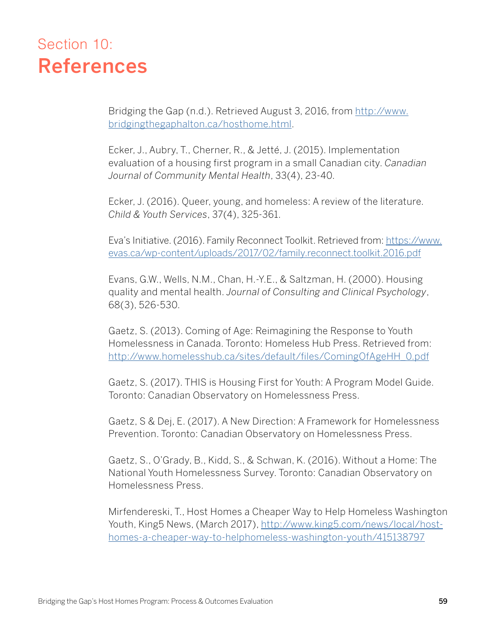# Section 10: References

Bridging the Gap (n.d.). Retrieved August 3, 2016, from [http://www.](http://www.bridgingthegaphalton.ca/hosthome.html) [bridgingthegaphalton.ca/hosthome.html.](http://www.bridgingthegaphalton.ca/hosthome.html)

Ecker, J., Aubry, T., Cherner, R., & Jetté, J. (2015). Implementation evaluation of a housing first program in a small Canadian city. *Canadian Journal of Community Mental Health*, 33(4), 23-40.

Ecker, J. (2016). Queer, young, and homeless: A review of the literature. *Child & Youth Services*, 37(4), 325-361.

Eva's Initiative. (2016). Family Reconnect Toolkit. Retrieved from: [https://www.](https://www.evas.ca/wp-content/uploads/2017/02/family.reconnect.toolkit.2016.pdf ) [evas.ca/wp-content/uploads/2017/02/family.reconnect.toolkit.2016.pdf](https://www.evas.ca/wp-content/uploads/2017/02/family.reconnect.toolkit.2016.pdf )

Evans, G.W., Wells, N.M., Chan, H.-Y.E., & Saltzman, H. (2000). Housing quality and mental health. *Journal of Consulting and Clinical Psychology*, 68(3), 526-530.

Gaetz, S. (2013). Coming of Age: Reimagining the Response to Youth Homelessness in Canada. Toronto: Homeless Hub Press. Retrieved from: [http://www.homelesshub.ca/sites/default/files/ComingOfAgeHH\\_0.pdf](http://www.homelesshub.ca/sites/default/files/ComingOfAgeHH_0.pdf)

Gaetz, S. (2017). THIS is Housing First for Youth: A Program Model Guide. Toronto: Canadian Observatory on Homelessness Press.

Gaetz, S & Dej, E. (2017). A New Direction: A Framework for Homelessness Prevention. Toronto: Canadian Observatory on Homelessness Press.

Gaetz, S., O'Grady, B., Kidd, S., & Schwan, K. (2016). Without a Home: The National Youth Homelessness Survey. Toronto: Canadian Observatory on Homelessness Press.

Mirfendereski, T., Host Homes a Cheaper Way to Help Homeless Washington Youth, King5 News, (March 2017), [http://www.king5.com/news/local/host](http://www.king5.com/news/local/host-homes-a-cheaper-way-to-helphomeless-washington-youth/415138797)[homes-a-cheaper-way-to-helphomeless-washington-youth/415138797](http://www.king5.com/news/local/host-homes-a-cheaper-way-to-helphomeless-washington-youth/415138797)